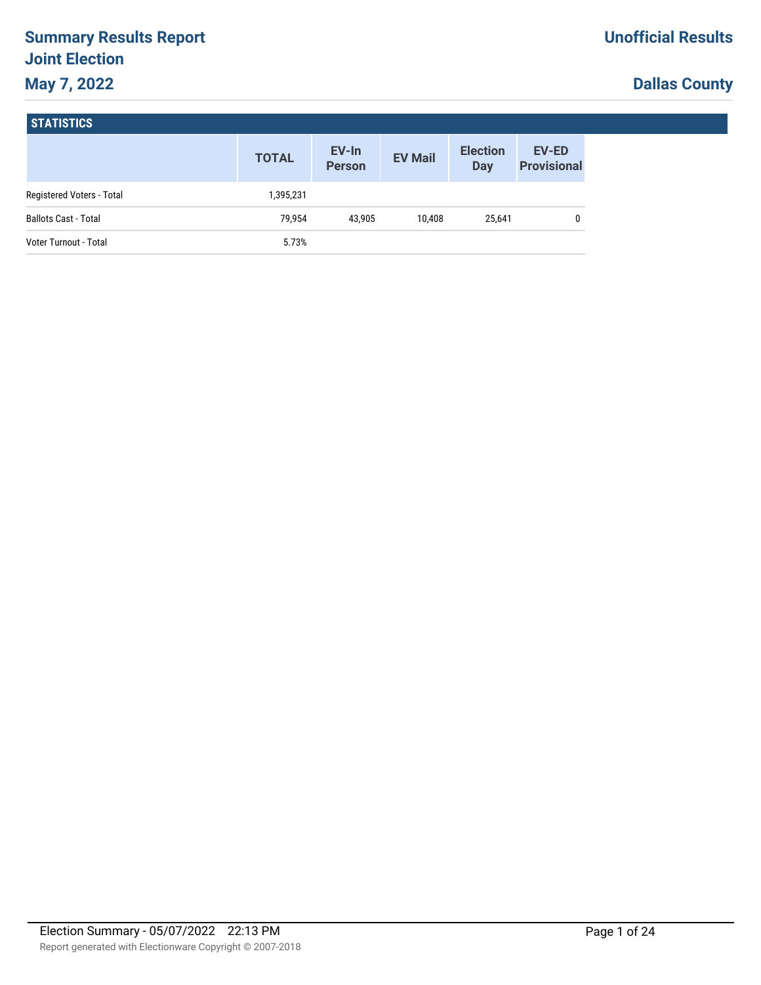# **Summary Results Report Joint Election May 7, 2022**

# **Dallas County**

| <b>STATISTICS</b> |  |
|-------------------|--|
|-------------------|--|

|                             | <b>TOTAL</b> | EV-In<br><b>Person</b> | <b>EV Mail</b> | <b>Election</b><br>Day | <b>EV-ED</b><br><b>Provisional</b> |
|-----------------------------|--------------|------------------------|----------------|------------------------|------------------------------------|
| Registered Voters - Total   | 1,395,231    |                        |                |                        |                                    |
| <b>Ballots Cast - Total</b> | 79.954       | 43.905                 | 10.408         | 25,641                 | 0                                  |
| Voter Turnout - Total       | 5.73%        |                        |                |                        |                                    |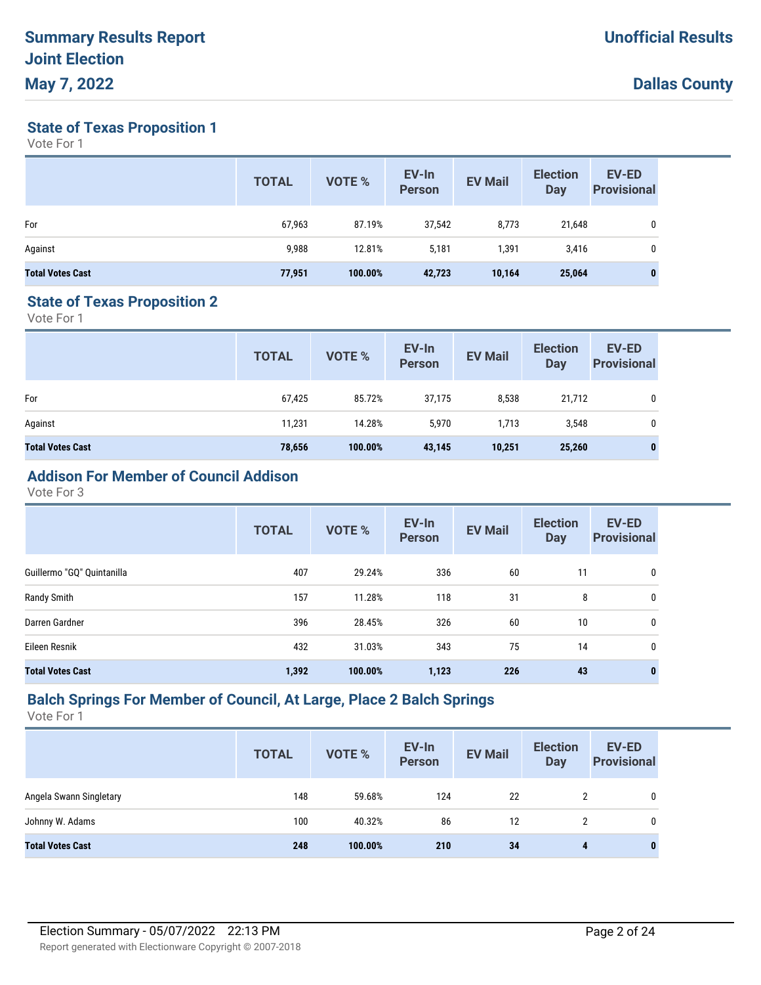**State of Texas Proposition 1**

Vote For 1

|                         | <b>TOTAL</b> | VOTE %  | EV-In<br><b>Person</b> | <b>EV Mail</b> | <b>Election</b><br>Day | <b>EV-ED</b><br><b>Provisional</b> |
|-------------------------|--------------|---------|------------------------|----------------|------------------------|------------------------------------|
| For                     | 67,963       | 87.19%  | 37,542                 | 8,773          | 21,648                 | 0                                  |
| Against                 | 9,988        | 12.81%  | 5,181                  | 1,391          | 3,416                  | 0                                  |
| <b>Total Votes Cast</b> | 77,951       | 100.00% | 42,723                 | 10,164         | 25,064                 | $\bf{0}$                           |

#### **State of Texas Proposition 2**

Vote For 1

|                         | <b>TOTAL</b> | VOTE %  | EV-In<br><b>Person</b> | <b>EV Mail</b> | <b>Election</b><br><b>Day</b> | <b>EV-ED</b><br><b>Provisional</b> |
|-------------------------|--------------|---------|------------------------|----------------|-------------------------------|------------------------------------|
| For                     | 67,425       | 85.72%  | 37,175                 | 8,538          | 21,712                        | 0                                  |
| Against                 | 11,231       | 14.28%  | 5,970                  | 1,713          | 3,548                         | $\mathbf 0$                        |
| <b>Total Votes Cast</b> | 78,656       | 100.00% | 43,145                 | 10,251         | 25,260                        | 0                                  |

# **Addison For Member of Council Addison**

Vote For 3

|                            | <b>TOTAL</b> | VOTE %  | EV-In<br><b>Person</b> | <b>EV Mail</b> | <b>Election</b><br><b>Day</b> | <b>EV-ED</b><br><b>Provisional</b> |
|----------------------------|--------------|---------|------------------------|----------------|-------------------------------|------------------------------------|
| Guillermo "GQ" Quintanilla | 407          | 29.24%  | 336                    | 60             | 11                            | 0                                  |
| Randy Smith                | 157          | 11.28%  | 118                    | 31             | 8                             | 0                                  |
| Darren Gardner             | 396          | 28.45%  | 326                    | 60             | 10                            | 0                                  |
| Eileen Resnik              | 432          | 31.03%  | 343                    | 75             | 14                            | 0                                  |
| <b>Total Votes Cast</b>    | 1,392        | 100.00% | 1,123                  | 226            | 43                            | 0                                  |

#### **Balch Springs For Member of Council, At Large, Place 2 Balch Springs**

|                         | <b>TOTAL</b> | <b>VOTE %</b> | EV-In<br><b>Person</b> | <b>EV Mail</b> | <b>Election</b><br><b>Day</b> | <b>EV-ED</b><br><b>Provisional</b> |
|-------------------------|--------------|---------------|------------------------|----------------|-------------------------------|------------------------------------|
| Angela Swann Singletary | 148          | 59.68%        | 124                    | 22             | 2                             |                                    |
| Johnny W. Adams         | 100          | 40.32%        | 86                     | 12             | 2                             |                                    |
| <b>Total Votes Cast</b> | 248          | 100.00%       | 210                    | 34             | 4                             | 0                                  |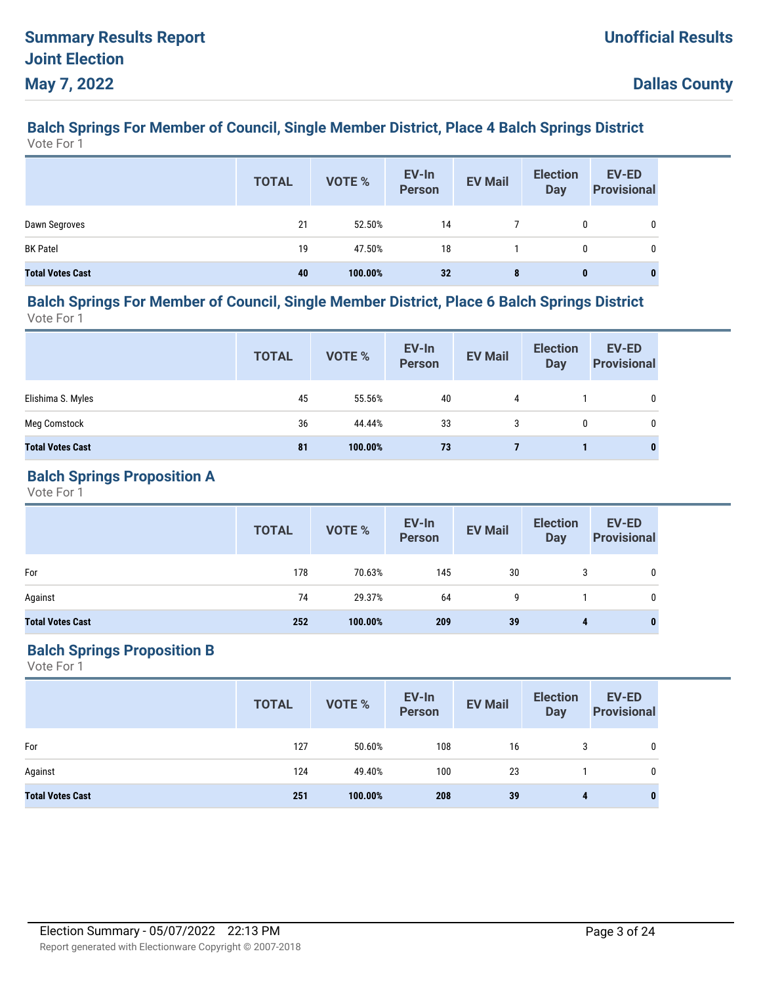#### **Balch Springs For Member of Council, Single Member District, Place 4 Balch Springs District** Vote For 1

|                         | <b>TOTAL</b> | VOTE %  | EV-In<br>Person | <b>EV Mail</b> | <b>Election</b><br><b>Day</b> | EV-ED<br><b>Provisional</b> |
|-------------------------|--------------|---------|-----------------|----------------|-------------------------------|-----------------------------|
| Dawn Segroves           | 21           | 52.50%  | 14              |                | 0                             |                             |
| <b>BK Patel</b>         | 19           | 47.50%  | 18              |                | 0                             |                             |
| <b>Total Votes Cast</b> | 40           | 100.00% | 32              | 8              | $\bf{0}$                      | 0                           |

#### **Balch Springs For Member of Council, Single Member District, Place 6 Balch Springs District** Vote For 1

|                         | <b>TOTAL</b> | VOTE %  | EV-In<br><b>Person</b> | <b>EV Mail</b> | <b>Election</b><br>Day | <b>EV-ED</b><br><b>Provisional</b> |
|-------------------------|--------------|---------|------------------------|----------------|------------------------|------------------------------------|
| Elishima S. Myles       | 45           | 55.56%  | 40                     | 4              |                        | 0                                  |
| Meg Comstock            | 36           | 44.44%  | 33                     | 3              | 0                      | 0                                  |
| <b>Total Votes Cast</b> | 81           | 100.00% | 73                     |                |                        | $\bf{0}$                           |

### **Balch Springs Proposition A**

Vote For 1

|                         | <b>TOTAL</b> | VOTE %  | EV-In<br>Person | <b>EV Mail</b> | <b>Election</b><br><b>Day</b> | <b>EV-ED</b><br><b>Provisional</b> |
|-------------------------|--------------|---------|-----------------|----------------|-------------------------------|------------------------------------|
| For                     | 178          | 70.63%  | 145             | 30             | 3                             | 0                                  |
| Against                 | 74           | 29.37%  | 64              | 9              |                               | 0                                  |
| <b>Total Votes Cast</b> | 252          | 100.00% | 209             | 39             | 4                             |                                    |

## **Balch Springs Proposition B**

|                         | <b>TOTAL</b> | VOTE %  | EV-In<br>Person | <b>EV Mail</b> | <b>Election</b><br><b>Day</b> | <b>EV-ED</b><br><b>Provisional</b> |
|-------------------------|--------------|---------|-----------------|----------------|-------------------------------|------------------------------------|
| For                     | 127          | 50.60%  | 108             | 16             | 3                             | 0                                  |
| Against                 | 124          | 49.40%  | 100             | 23             |                               | 0                                  |
| <b>Total Votes Cast</b> | 251          | 100.00% | 208             | 39             | 4                             | $\bf{0}$                           |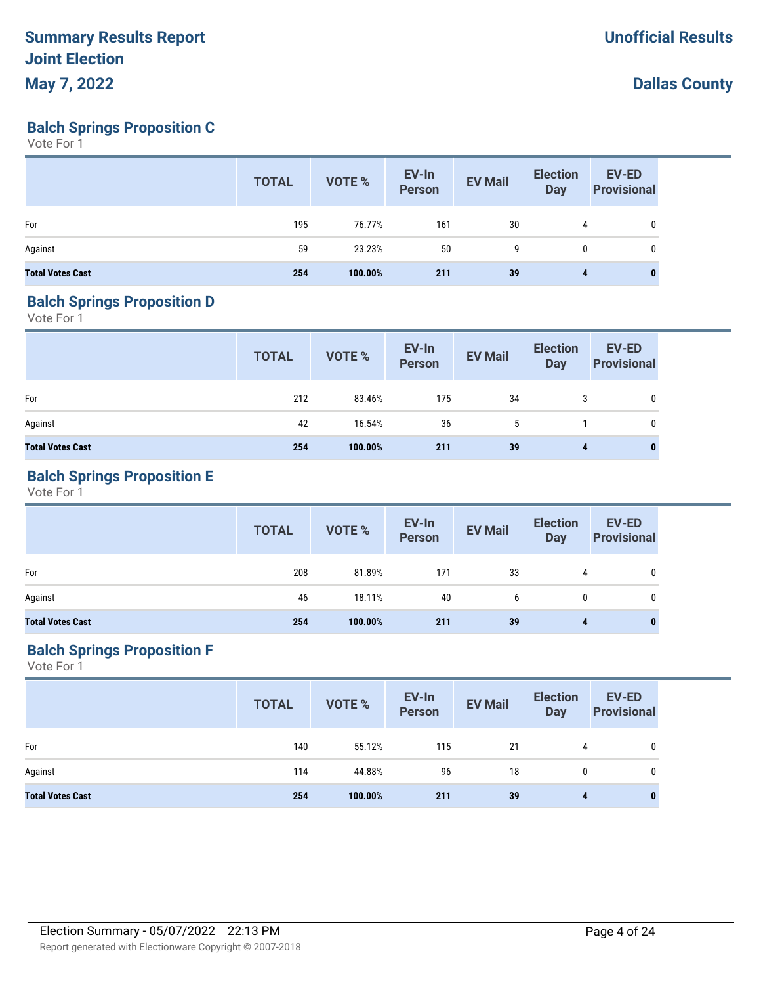**Balch Springs Proposition C**

Vote For 1

|                         | <b>TOTAL</b> | VOTE %  | EV-In<br>Person | <b>EV Mail</b> | <b>Election</b><br><b>Day</b> | <b>EV-ED</b><br><b>Provisional</b> |
|-------------------------|--------------|---------|-----------------|----------------|-------------------------------|------------------------------------|
| For                     | 195          | 76.77%  | 161             | 30             | 4                             | 0                                  |
| Against                 | 59           | 23.23%  | 50              | 9              | $\mathbf{0}$                  | 0                                  |
| <b>Total Votes Cast</b> | 254          | 100.00% | 211             | 39             | 4                             | 0                                  |

#### **Balch Springs Proposition D**

Vote For 1

|                         | <b>TOTAL</b> | VOTE %  | EV-In<br>Person | <b>EV Mail</b> | <b>Election</b><br>Day | <b>EV-ED</b><br><b>Provisional</b> |
|-------------------------|--------------|---------|-----------------|----------------|------------------------|------------------------------------|
| For                     | 212          | 83.46%  | 175             | 34             | 3                      | 0                                  |
| Against                 | 42           | 16.54%  | 36              | 5              |                        | 0                                  |
| <b>Total Votes Cast</b> | 254          | 100.00% | 211             | 39             | 4                      | $\bf{0}$                           |

## **Balch Springs Proposition E**

Vote For 1

|                         | <b>TOTAL</b> | VOTE %  | EV-In<br>Person | <b>EV Mail</b> | <b>Election</b><br>Day | <b>EV-ED</b><br><b>Provisional</b> |
|-------------------------|--------------|---------|-----------------|----------------|------------------------|------------------------------------|
| For                     | 208          | 81.89%  | 171             | 33             | 4                      | 0                                  |
| Against                 | 46           | 18.11%  | 40              | b              | 0                      | 0                                  |
| <b>Total Votes Cast</b> | 254          | 100.00% | 211             | 39             | 4                      | 0                                  |

## **Balch Springs Proposition F**

|                         | <b>TOTAL</b> | VOTE %  | EV-In<br>Person | <b>EV Mail</b> | <b>Election</b><br><b>Day</b> | EV-ED<br><b>Provisional</b> |
|-------------------------|--------------|---------|-----------------|----------------|-------------------------------|-----------------------------|
| For                     | 140          | 55.12%  | 115             | 21             | 4                             | $\mathbf{0}$                |
| Against                 | 114          | 44.88%  | 96              | 18             | $\mathbf{0}$                  | 0                           |
| <b>Total Votes Cast</b> | 254          | 100.00% | 211             | 39             | 4                             | 0                           |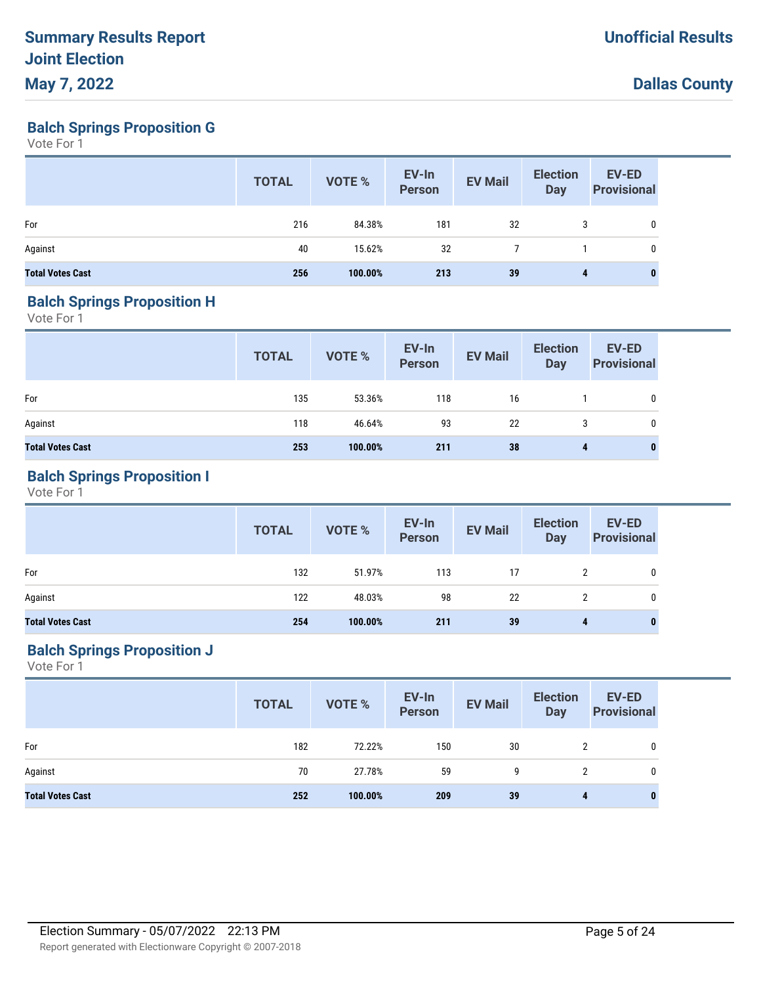**Balch Springs Proposition G**

Vote For 1

|                         | <b>TOTAL</b> | VOTE %  | EV-In<br><b>Person</b> | <b>EV Mail</b> | <b>Election</b><br><b>Day</b> | EV-ED<br><b>Provisional</b> |
|-------------------------|--------------|---------|------------------------|----------------|-------------------------------|-----------------------------|
| For                     | 216          | 84.38%  | 181                    | 32             | 3                             | 0                           |
| Against                 | 40           | 15.62%  | 32                     |                |                               | 0                           |
| <b>Total Votes Cast</b> | 256          | 100.00% | 213                    | 39             | 4                             | $\bf{0}$                    |

#### **Balch Springs Proposition H**

Vote For 1

|                         | <b>TOTAL</b> | VOTE %  | EV-In<br>Person | <b>EV Mail</b> | <b>Election</b><br>Day | <b>EV-ED</b><br><b>Provisional</b> |
|-------------------------|--------------|---------|-----------------|----------------|------------------------|------------------------------------|
| For                     | 135          | 53.36%  | 118             | 16             |                        | 0                                  |
| Against                 | 118          | 46.64%  | 93              | -22            | 3                      | 0                                  |
| <b>Total Votes Cast</b> | 253          | 100.00% | 211             | 38             | 4                      | 0                                  |

## **Balch Springs Proposition I**

Vote For 1

|                         | <b>TOTAL</b> | VOTE %  | EV-In<br>Person | <b>EV Mail</b> | <b>Election</b><br>Day | <b>EV-ED</b><br><b>Provisional</b> |
|-------------------------|--------------|---------|-----------------|----------------|------------------------|------------------------------------|
| For                     | 132          | 51.97%  | 113             | 17             | $\mathbf{2}^{\prime}$  | 0                                  |
| Against                 | 122          | 48.03%  | 98              | 22             |                        | 0                                  |
| <b>Total Votes Cast</b> | 254          | 100.00% | 211             | 39             | 4                      | 0                                  |

## **Balch Springs Proposition J**

|                         | <b>TOTAL</b> | VOTE %  | EV-In<br>Person | <b>EV Mail</b> | <b>Election</b><br>Day | <b>EV-ED</b><br><b>Provisional</b> |
|-------------------------|--------------|---------|-----------------|----------------|------------------------|------------------------------------|
| For                     | 182          | 72.22%  | 150             | 30             | 2                      | $\mathbf 0$                        |
| Against                 | 70           | 27.78%  | 59              | 9              | 2                      | 0                                  |
| <b>Total Votes Cast</b> | 252          | 100.00% | 209             | 39             | 4                      | 0                                  |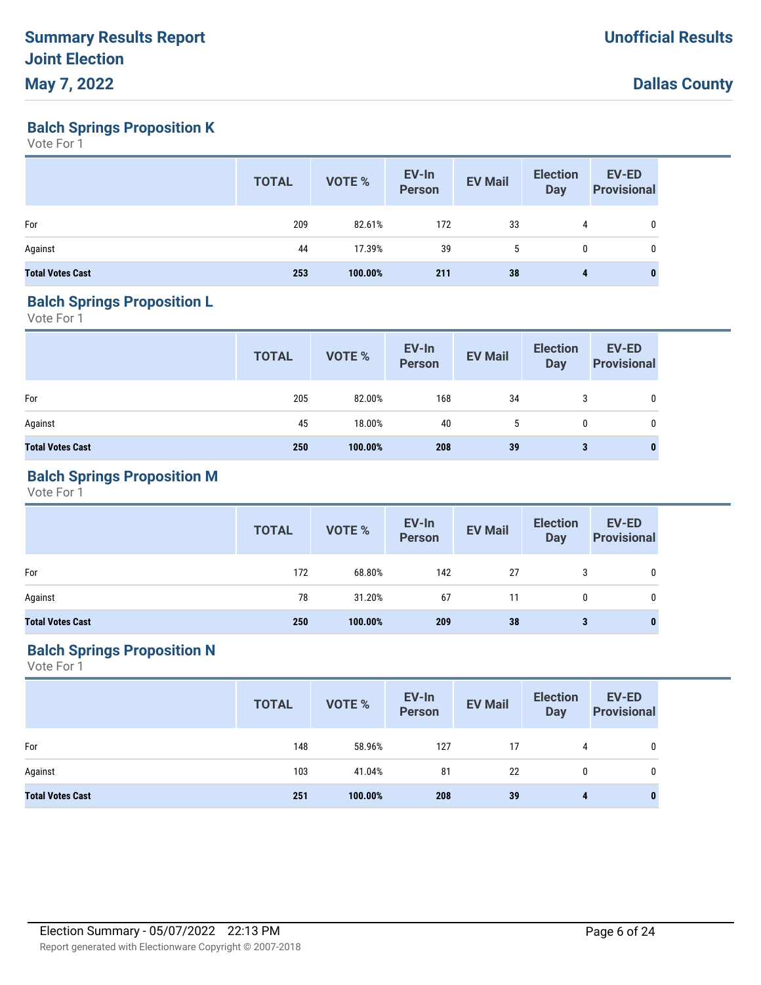**Balch Springs Proposition K**

Vote For 1

|                         | <b>TOTAL</b> | VOTE %  | EV-In<br>Person | <b>EV Mail</b> | <b>Election</b><br><b>Day</b> | EV-ED<br><b>Provisional</b> |
|-------------------------|--------------|---------|-----------------|----------------|-------------------------------|-----------------------------|
| For                     | 209          | 82.61%  | 172             | 33             | 4                             | 0                           |
| Against                 | 44           | 17.39%  | 39              | 5              | $\mathbf 0$                   | 0                           |
| <b>Total Votes Cast</b> | 253          | 100.00% | 211             | 38             | 4                             | 0                           |

#### **Balch Springs Proposition L**

Vote For 1

|                         | <b>TOTAL</b> | VOTE %  | EV-In<br>Person | <b>EV Mail</b> | <b>Election</b><br>Day | <b>EV-ED</b><br><b>Provisional</b> |
|-------------------------|--------------|---------|-----------------|----------------|------------------------|------------------------------------|
| For                     | 205          | 82.00%  | 168             | 34             | 3                      | 0                                  |
| Against                 | 45           | 18.00%  | 40              | 5              | 0                      | 0                                  |
| <b>Total Votes Cast</b> | 250          | 100.00% | 208             | 39             | 3                      | $\bf{0}$                           |

## **Balch Springs Proposition M**

Vote For 1

|                         | <b>TOTAL</b> | VOTE %  | EV-In<br>Person | <b>EV Mail</b> | <b>Election</b><br>Day | <b>EV-ED</b><br><b>Provisional</b> |
|-------------------------|--------------|---------|-----------------|----------------|------------------------|------------------------------------|
| For                     | 172          | 68.80%  | 142             | 27             |                        | 0                                  |
| Against                 | 78           | 31.20%  | 67              | 11             | 0                      | 0                                  |
| <b>Total Votes Cast</b> | 250          | 100.00% | 209             | 38             | 3                      | $\bf{0}$                           |

## **Balch Springs Proposition N**

|                         | <b>TOTAL</b> | VOTE %  | EV-In<br>Person | <b>EV Mail</b> | <b>Election</b><br><b>Day</b> | <b>EV-ED</b><br><b>Provisional</b> |
|-------------------------|--------------|---------|-----------------|----------------|-------------------------------|------------------------------------|
| For                     | 148          | 58.96%  | 127             | 17             | 4                             | 0                                  |
| Against                 | 103          | 41.04%  | 81              | 22             | 0                             | 0                                  |
| <b>Total Votes Cast</b> | 251          | 100.00% | 208             | 39             | 4                             | $\bf{0}$                           |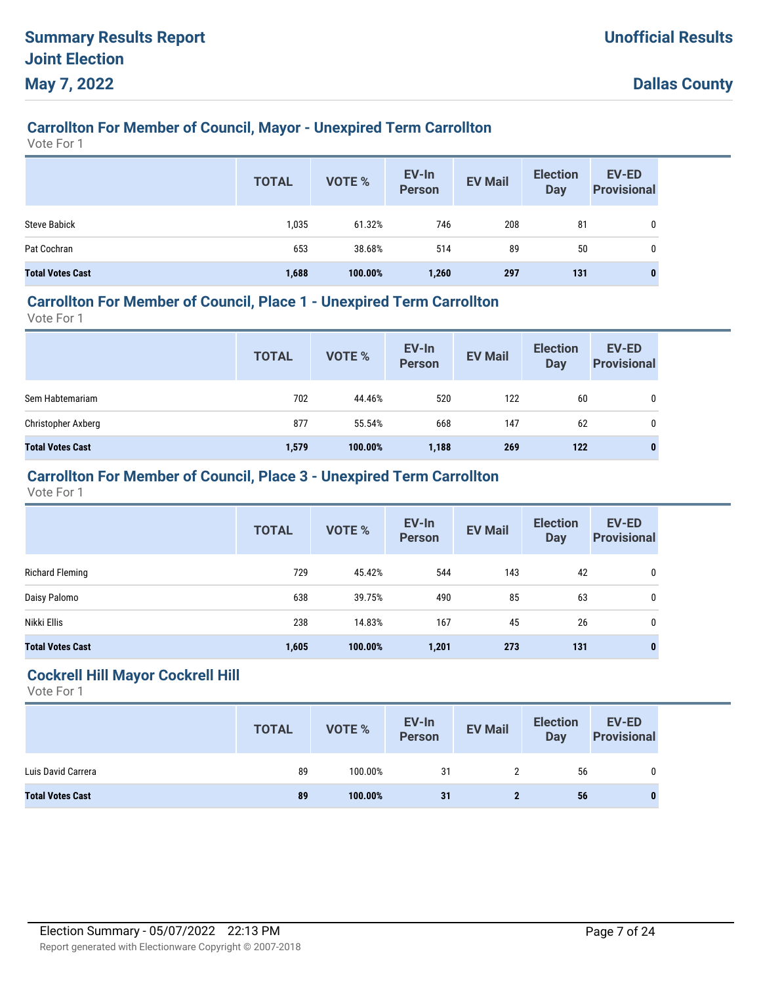# **Carrollton For Member of Council, Mayor - Unexpired Term Carrollton**

Vote For 1

|                         | <b>TOTAL</b> | <b>VOTE %</b> | EV-In<br><b>Person</b> | <b>EV Mail</b> | <b>Election</b><br>Day | EV-ED<br><b>Provisional</b> |
|-------------------------|--------------|---------------|------------------------|----------------|------------------------|-----------------------------|
| <b>Steve Babick</b>     | 1,035        | 61.32%        | 746                    | 208            | 81                     | 0                           |
| Pat Cochran             | 653          | 38.68%        | 514                    | 89             | 50                     | 0                           |
| <b>Total Votes Cast</b> | 1,688        | 100.00%       | 1,260                  | 297            | 131                    | 0                           |

## **Carrollton For Member of Council, Place 1 - Unexpired Term Carrollton**

Vote For 1

|                         | <b>TOTAL</b> | VOTE %  | EV-In<br>Person | <b>EV Mail</b> | <b>Election</b><br><b>Day</b> | <b>EV-ED</b><br><b>Provisional</b> |
|-------------------------|--------------|---------|-----------------|----------------|-------------------------------|------------------------------------|
| Sem Habtemariam         | 702          | 44.46%  | 520             | 122            | 60                            | 0                                  |
| Christopher Axberg      | 877          | 55.54%  | 668             | 147            | 62                            | 0                                  |
| <b>Total Votes Cast</b> | 1,579        | 100.00% | 1,188           | 269            | 122                           | 0                                  |

## **Carrollton For Member of Council, Place 3 - Unexpired Term Carrollton**

Vote For 1

|                         | <b>TOTAL</b> | <b>VOTE %</b> | EV-In<br><b>Person</b> | <b>EV Mail</b> | <b>Election</b><br><b>Day</b> | <b>EV-ED</b><br><b>Provisional</b> |
|-------------------------|--------------|---------------|------------------------|----------------|-------------------------------|------------------------------------|
| Richard Fleming         | 729          | 45.42%        | 544                    | 143            | 42                            | 0                                  |
| Daisy Palomo            | 638          | 39.75%        | 490                    | 85             | 63                            | 0                                  |
| Nikki Ellis             | 238          | 14.83%        | 167                    | 45             | 26                            | 0                                  |
| <b>Total Votes Cast</b> | 1,605        | 100.00%       | 1,201                  | 273            | 131                           |                                    |

#### **Cockrell Hill Mayor Cockrell Hill**

|                         | <b>TOTAL</b> | <b>VOTE %</b> | EV-In<br>Person | <b>EV Mail</b> | <b>Election</b><br><b>Day</b> | EV-ED<br><b>Provisional</b> |
|-------------------------|--------------|---------------|-----------------|----------------|-------------------------------|-----------------------------|
| Luis David Carrera      | 89           | 100.00%       | 31              |                | 56                            | 0                           |
| <b>Total Votes Cast</b> | 89           | 100.00%       | 31              |                | 56                            |                             |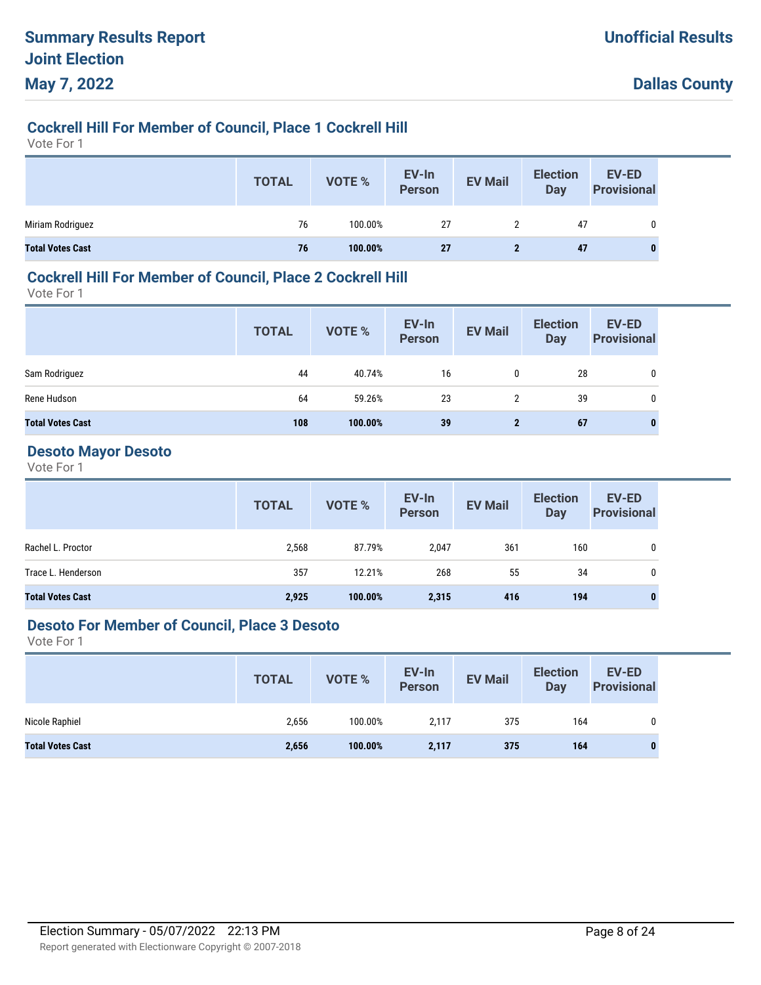## **Cockrell Hill For Member of Council, Place 1 Cockrell Hill**

Vote For 1

|                         | <b>TOTAL</b> | VOTE %  | EV-In<br>Person | <b>EV Mail</b> | <b>Election</b><br><b>Day</b> | EV-ED<br><b>Provisional</b> |
|-------------------------|--------------|---------|-----------------|----------------|-------------------------------|-----------------------------|
| Miriam Rodriguez        | 76           | 100.00% | 27              | 2              | 47                            |                             |
| <b>Total Votes Cast</b> | 76           | 100.00% | 27              |                | 47                            | 0                           |

### **Cockrell Hill For Member of Council, Place 2 Cockrell Hill**

Vote For 1

|                         | <b>TOTAL</b> | VOTE %  | EV-In<br>Person | <b>EV Mail</b> | <b>Election</b><br>Day | <b>EV-ED</b><br><b>Provisional</b> |
|-------------------------|--------------|---------|-----------------|----------------|------------------------|------------------------------------|
| Sam Rodriguez           | 44           | 40.74%  | 16              | 0              | 28                     | 0                                  |
| Rene Hudson             | 64           | 59.26%  | 23              | $\overline{2}$ | 39                     | 0                                  |
| <b>Total Votes Cast</b> | 108          | 100.00% | 39              | $\mathbf{2}$   | 67                     | 0                                  |

#### **Desoto Mayor Desoto**

Vote For 1

|                         | <b>TOTAL</b> | <b>VOTE %</b> | EV-In<br>Person | <b>EV Mail</b> | <b>Election</b><br>Day | EV-ED<br><b>Provisional</b> |
|-------------------------|--------------|---------------|-----------------|----------------|------------------------|-----------------------------|
| Rachel L. Proctor       | 2,568        | 87.79%        | 2,047           | 361            | 160                    | 0                           |
| Trace L. Henderson      | 357          | 12.21%        | 268             | 55             | 34                     | 0                           |
| <b>Total Votes Cast</b> | 2,925        | 100.00%       | 2,315           | 416            | 194                    | 0                           |

#### **Desoto For Member of Council, Place 3 Desoto**

|                         | <b>TOTAL</b> | VOTE %  | EV-In<br>Person | <b>EV Mail</b> | <b>Election</b><br>Day | EV-ED<br><b>Provisional</b> |
|-------------------------|--------------|---------|-----------------|----------------|------------------------|-----------------------------|
| Nicole Raphiel          | 2,656        | 100.00% | 2,117           | 375            | 164                    | 0                           |
| <b>Total Votes Cast</b> | 2,656        | 100.00% | 2,117           | 375            | 164                    |                             |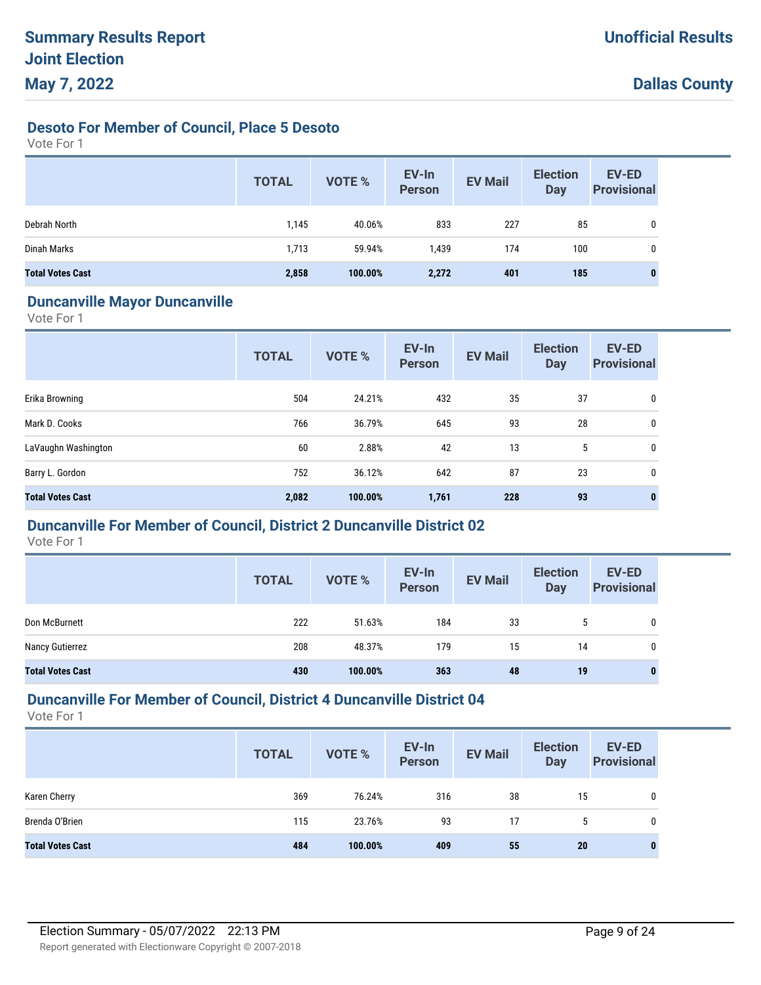## **Desoto For Member of Council, Place 5 Desoto**

Vote For 1

|                         | <b>TOTAL</b> | <b>VOTE %</b> | EV-In<br><b>Person</b> | <b>EV Mail</b> | <b>Election</b><br><b>Day</b> | EV-ED<br><b>Provisional</b> |
|-------------------------|--------------|---------------|------------------------|----------------|-------------------------------|-----------------------------|
| Debrah North            | 1,145        | 40.06%        | 833                    | 227            | 85                            | $\mathbf{0}$                |
| Dinah Marks             | 1,713        | 59.94%        | 1,439                  | 174            | 100                           |                             |
| <b>Total Votes Cast</b> | 2,858        | 100.00%       | 2,272                  | 401            | 185                           |                             |

#### **Duncanville Mayor Duncanville**

Vote For 1

|                         | <b>TOTAL</b> | VOTE %  | EV-In<br><b>Person</b> | <b>EV Mail</b> | <b>Election</b><br><b>Day</b> | <b>EV-ED</b><br><b>Provisional</b> |
|-------------------------|--------------|---------|------------------------|----------------|-------------------------------|------------------------------------|
| Erika Browning          | 504          | 24.21%  | 432                    | 35             | 37                            | 0                                  |
| Mark D. Cooks           | 766          | 36.79%  | 645                    | 93             | 28                            | 0                                  |
| LaVaughn Washington     | 60           | 2.88%   | 42                     | 13             | 5                             | 0                                  |
| Barry L. Gordon         | 752          | 36.12%  | 642                    | 87             | 23                            | 0                                  |
| <b>Total Votes Cast</b> | 2,082        | 100.00% | 1,761                  | 228            | 93                            | $\bf{0}$                           |

## **Duncanville For Member of Council, District 2 Duncanville District 02**

Vote For 1

|                         | <b>TOTAL</b> | <b>VOTE %</b> | EV-In<br><b>Person</b> | <b>EV Mail</b> | <b>Election</b><br><b>Day</b> | <b>EV-ED</b><br><b>Provisional</b> |
|-------------------------|--------------|---------------|------------------------|----------------|-------------------------------|------------------------------------|
| Don McBurnett           | 222          | 51.63%        | 184                    | 33             | 5                             | 0                                  |
| Nancy Gutierrez         | 208          | 48.37%        | 179                    | 15             | 14                            | 0                                  |
| <b>Total Votes Cast</b> | 430          | 100.00%       | 363                    | 48             | 19                            | 0                                  |

## **Duncanville For Member of Council, District 4 Duncanville District 04**

|                         | <b>TOTAL</b> | <b>VOTE %</b> | EV-In<br><b>Person</b> | <b>EV Mail</b> | <b>Election</b><br><b>Day</b> | <b>EV-ED</b><br><b>Provisional</b> |
|-------------------------|--------------|---------------|------------------------|----------------|-------------------------------|------------------------------------|
| Karen Cherry            | 369          | 76.24%        | 316                    | 38             | 15                            | 0                                  |
| Brenda O'Brien          | 115          | 23.76%        | 93                     | 17             | 5                             | $\mathbf{0}$                       |
| <b>Total Votes Cast</b> | 484          | 100.00%       | 409                    | 55             | 20                            | $\bf{0}$                           |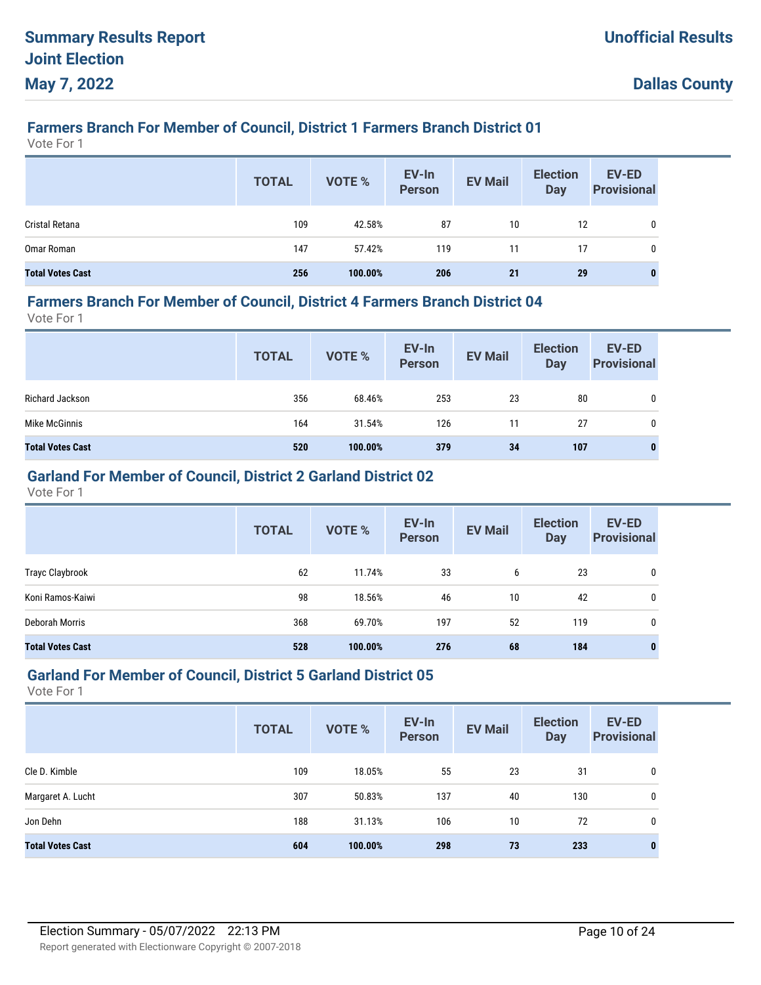# **Farmers Branch For Member of Council, District 1 Farmers Branch District 01**

Vote For 1

|                         | <b>TOTAL</b> | VOTE %  | EV-In<br>Person | <b>EV Mail</b> | <b>Election</b><br>Day | EV-ED<br><b>Provisional</b> |
|-------------------------|--------------|---------|-----------------|----------------|------------------------|-----------------------------|
| Cristal Retana          | 109          | 42.58%  | 87              | 10             | 12                     |                             |
| Omar Roman              | 147          | 57.42%  | 119             | 11             | 17                     | 0                           |
| <b>Total Votes Cast</b> | 256          | 100.00% | 206             | 21             | 29                     |                             |

#### **Farmers Branch For Member of Council, District 4 Farmers Branch District 04**

Vote For 1

|                         | <b>TOTAL</b> | VOTE %  | EV-In<br>Person | <b>EV Mail</b> | <b>Election</b><br><b>Day</b> | <b>EV-ED</b><br><b>Provisional</b> |
|-------------------------|--------------|---------|-----------------|----------------|-------------------------------|------------------------------------|
| Richard Jackson         | 356          | 68.46%  | 253             | 23             | 80                            | 0                                  |
| Mike McGinnis           | 164          | 31.54%  | 126             | 11             | 27                            | 0                                  |
| <b>Total Votes Cast</b> | 520          | 100.00% | 379             | 34             | 107                           | 0                                  |

## **Garland For Member of Council, District 2 Garland District 02**

Vote For 1

|                         | <b>TOTAL</b> | <b>VOTE %</b> | EV-In<br><b>Person</b> | <b>EV Mail</b> | <b>Election</b><br><b>Day</b> | EV-ED<br><b>Provisional</b> |
|-------------------------|--------------|---------------|------------------------|----------------|-------------------------------|-----------------------------|
| Trayc Claybrook         | 62           | 11.74%        | 33                     | 6              | 23                            | 0                           |
| Koni Ramos-Kaiwi        | 98           | 18.56%        | 46                     | 10             | 42                            | 0                           |
| Deborah Morris          | 368          | 69.70%        | 197                    | 52             | 119                           | 0                           |
| <b>Total Votes Cast</b> | 528          | 100.00%       | 276                    | 68             | 184                           | 0                           |

#### **Garland For Member of Council, District 5 Garland District 05**

|                         | <b>TOTAL</b> | <b>VOTE %</b> | EV-In<br><b>Person</b> | <b>EV Mail</b> | <b>Election</b><br><b>Day</b> | <b>EV-ED</b><br><b>Provisional</b> |
|-------------------------|--------------|---------------|------------------------|----------------|-------------------------------|------------------------------------|
| Cle D. Kimble           | 109          | 18.05%        | 55                     | 23             | 31                            | 0                                  |
| Margaret A. Lucht       | 307          | 50.83%        | 137                    | 40             | 130                           | 0                                  |
| Jon Dehn                | 188          | 31.13%        | 106                    | 10             | 72                            | 0                                  |
| <b>Total Votes Cast</b> | 604          | 100.00%       | 298                    | 73             | 233                           | 0                                  |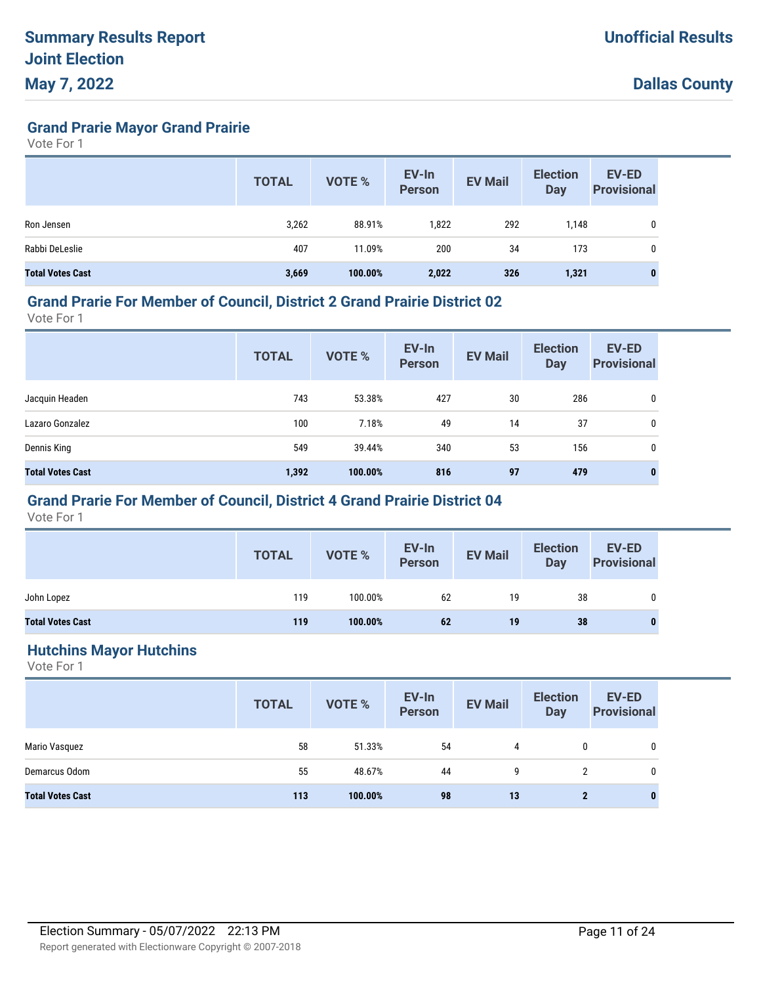**Grand Prarie Mayor Grand Prairie**

Vote For 1

|                         | <b>TOTAL</b> | <b>VOTE %</b> | EV-In<br><b>Person</b> | <b>EV Mail</b> | <b>Election</b><br>Day | EV-ED<br><b>Provisional</b> |
|-------------------------|--------------|---------------|------------------------|----------------|------------------------|-----------------------------|
| Ron Jensen              | 3,262        | 88.91%        | 1,822                  | 292            | 1.148                  | 0                           |
| Rabbi DeLeslie          | 407          | 11.09%        | 200                    | 34             | 173                    | 0                           |
| <b>Total Votes Cast</b> | 3,669        | 100.00%       | 2,022                  | 326            | 1,321                  | $\mathbf{0}$                |

#### **Grand Prarie For Member of Council, District 2 Grand Prairie District 02**

Vote For 1

|                         | <b>TOTAL</b> | VOTE %  | EV-In<br><b>Person</b> | <b>EV Mail</b> | <b>Election</b><br><b>Day</b> | EV-ED<br><b>Provisional</b> |
|-------------------------|--------------|---------|------------------------|----------------|-------------------------------|-----------------------------|
| Jacquin Headen          | 743          | 53.38%  | 427                    | 30             | 286                           | 0                           |
| Lazaro Gonzalez         | 100          | 7.18%   | 49                     | 14             | 37                            | 0                           |
| Dennis King             | 549          | 39.44%  | 340                    | 53             | 156                           | 0                           |
| <b>Total Votes Cast</b> | 1,392        | 100.00% | 816                    | 97             | 479                           | $\bf{0}$                    |

## **Grand Prarie For Member of Council, District 4 Grand Prairie District 04**

Vote For 1

|                         | <b>TOTAL</b> | <b>VOTE %</b> | EV-In<br>Person | <b>EV Mail</b> | <b>Election</b><br><b>Day</b> | <b>EV-ED</b><br><b>Provisional</b> |
|-------------------------|--------------|---------------|-----------------|----------------|-------------------------------|------------------------------------|
| John Lopez              | 119          | 100.00%       | 62              | 19             | 38                            | 0                                  |
| <b>Total Votes Cast</b> | 119          | 100.00%       | 62              | 19             | 38                            | $\bf{0}$                           |

#### **Hutchins Mayor Hutchins**

|                         | <b>TOTAL</b> | VOTE %  | EV-In<br>Person | <b>EV Mail</b> | <b>Election</b><br><b>Day</b> | <b>EV-ED</b><br><b>Provisional</b> |
|-------------------------|--------------|---------|-----------------|----------------|-------------------------------|------------------------------------|
| Mario Vasquez           | 58           | 51.33%  | 54              | 4              | 0                             | 0                                  |
| Demarcus Odom           | 55           | 48.67%  | 44              | 9              | 2                             | 0                                  |
| <b>Total Votes Cast</b> | 113          | 100.00% | 98              | 13             | $\mathbf{2}$                  | $\bf{0}$                           |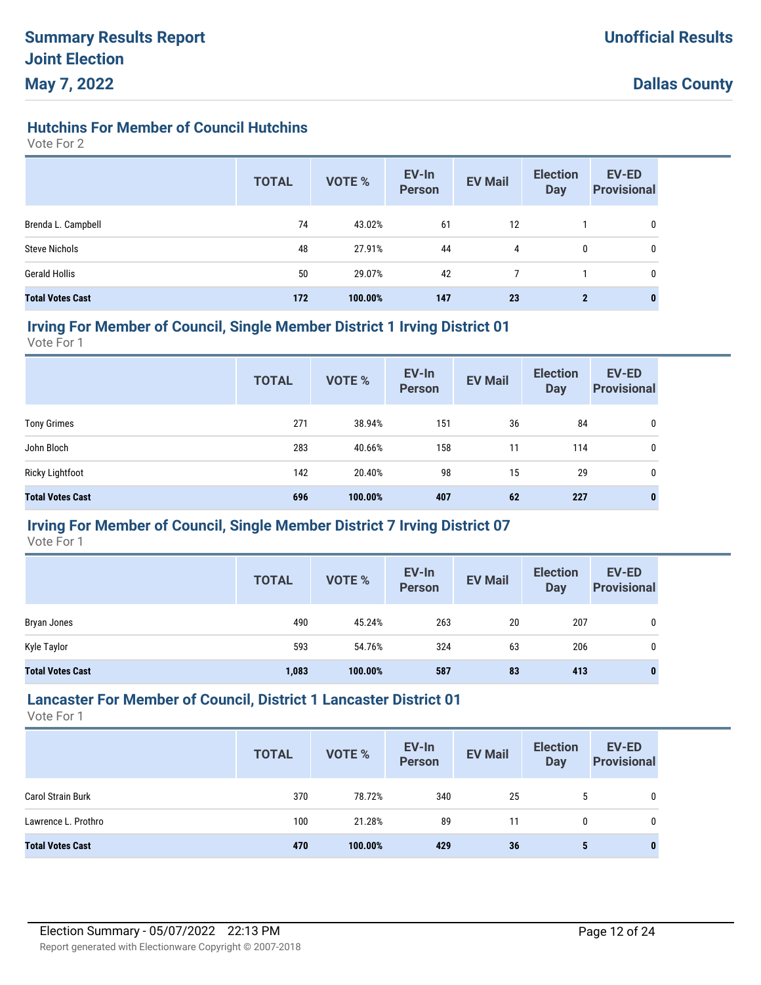## **Hutchins For Member of Council Hutchins**

Vote For 2

|                         | <b>TOTAL</b> | <b>VOTE %</b> | EV-In<br><b>Person</b> | <b>EV Mail</b> | <b>Election</b><br><b>Day</b> | <b>EV-ED</b><br><b>Provisional</b> |
|-------------------------|--------------|---------------|------------------------|----------------|-------------------------------|------------------------------------|
| Brenda L. Campbell      | 74           | 43.02%        | 61                     | 12             |                               | 0                                  |
| <b>Steve Nichols</b>    | 48           | 27.91%        | 44                     | 4              | 0                             | 0                                  |
| <b>Gerald Hollis</b>    | 50           | 29.07%        | 42                     | $\overline{7}$ |                               | 0                                  |
| <b>Total Votes Cast</b> | 172          | 100.00%       | 147                    | 23             | $\mathbf{2}$                  | 0                                  |

#### **Irving For Member of Council, Single Member District 1 Irving District 01**

Vote For 1

|                         | <b>TOTAL</b> | <b>VOTE %</b> | EV-In<br><b>Person</b> | <b>EV Mail</b> | <b>Election</b><br><b>Day</b> | <b>EV-ED</b><br><b>Provisional</b> |
|-------------------------|--------------|---------------|------------------------|----------------|-------------------------------|------------------------------------|
| <b>Tony Grimes</b>      | 271          | 38.94%        | 151                    | 36             | 84                            | 0                                  |
| John Bloch              | 283          | 40.66%        | 158                    | 11             | 114                           | 0                                  |
| <b>Ricky Lightfoot</b>  | 142          | 20.40%        | 98                     | 15             | 29                            | 0                                  |
| <b>Total Votes Cast</b> | 696          | 100.00%       | 407                    | 62             | 227                           | 0                                  |

## **Irving For Member of Council, Single Member District 7 Irving District 07**

Vote For 1

|                         | <b>TOTAL</b> | <b>VOTE %</b> | EV-In<br><b>Person</b> | <b>EV Mail</b> | <b>Election</b><br><b>Day</b> | <b>EV-ED</b><br><b>Provisional</b> |
|-------------------------|--------------|---------------|------------------------|----------------|-------------------------------|------------------------------------|
| Bryan Jones             | 490          | 45.24%        | 263                    | 20             | 207                           | 0                                  |
| Kyle Taylor             | 593          | 54.76%        | 324                    | 63             | 206                           | 0                                  |
| <b>Total Votes Cast</b> | 1,083        | 100.00%       | 587                    | 83             | 413                           | 0                                  |

## **Lancaster For Member of Council, District 1 Lancaster District 01**

|                          | <b>TOTAL</b> | <b>VOTE %</b> | EV-In<br>Person | <b>EV Mail</b> | <b>Election</b><br><b>Day</b> | <b>EV-ED</b><br><b>Provisional</b> |
|--------------------------|--------------|---------------|-----------------|----------------|-------------------------------|------------------------------------|
| <b>Carol Strain Burk</b> | 370          | 78.72%        | 340             | 25             | 5                             |                                    |
| Lawrence L. Prothro      | 100          | 21.28%        | 89              | 11             | 0                             |                                    |
| <b>Total Votes Cast</b>  | 470          | 100.00%       | 429             | 36             | 5                             | 0                                  |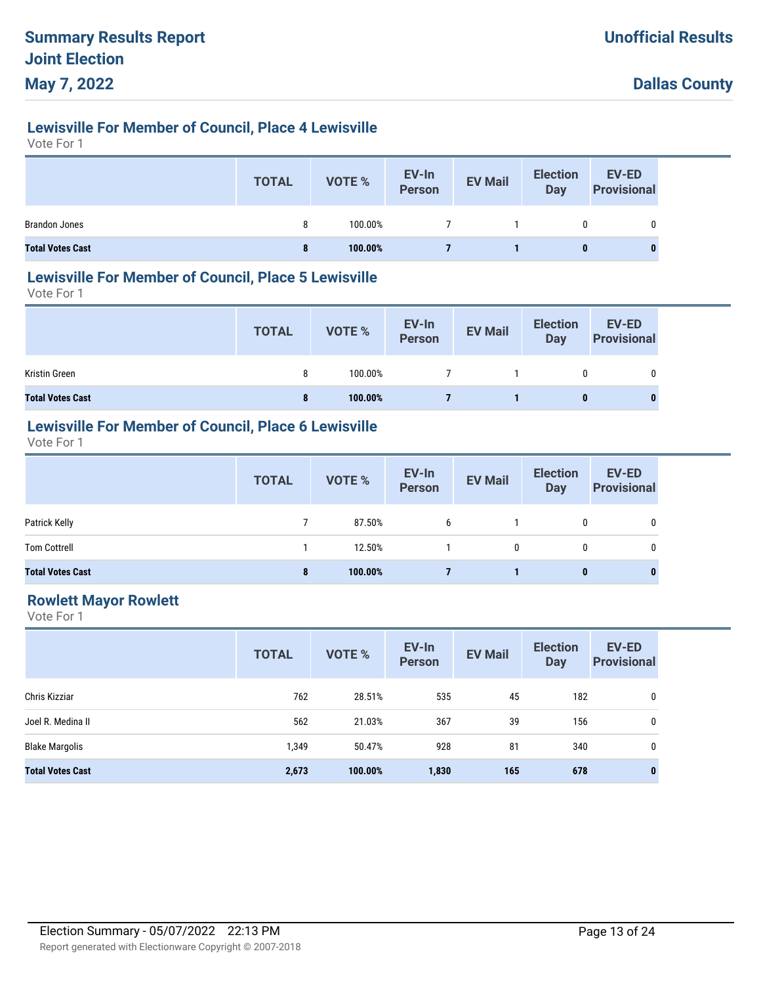# **Lewisville For Member of Council, Place 4 Lewisville**

Vote For 1

|                         | <b>TOTAL</b> | <b>VOTE %</b> | EV-In<br>Person | <b>EV Mail</b> | <b>Election</b><br>Day | <b>EV-ED</b><br><b>Provisional</b> |
|-------------------------|--------------|---------------|-----------------|----------------|------------------------|------------------------------------|
| <b>Brandon Jones</b>    | 8            | 100.00%       |                 |                |                        | 0                                  |
| <b>Total Votes Cast</b> | 8            | 100.00%       |                 |                | $\bf{0}$               |                                    |

#### **Lewisville For Member of Council, Place 5 Lewisville**

Vote For 1

|                         | <b>TOTAL</b> | VOTE %  | EV-In<br>Person | <b>EV Mail</b> | <b>Election</b><br>Day | EV-ED<br><b>Provisional</b> |
|-------------------------|--------------|---------|-----------------|----------------|------------------------|-----------------------------|
| Kristin Green           | 8            | 100.00% |                 |                | 0                      | 0                           |
| <b>Total Votes Cast</b> | 8            | 100.00% |                 |                |                        | 0                           |

## **Lewisville For Member of Council, Place 6 Lewisville**

Vote For 1

|                         | <b>TOTAL</b> | VOTE %  | EV-In<br>Person | <b>EV Mail</b> | <b>Election</b><br><b>Day</b> | <b>EV-ED</b><br><b>Provisional</b> |
|-------------------------|--------------|---------|-----------------|----------------|-------------------------------|------------------------------------|
| Patrick Kelly           |              | 87.50%  | 6               |                | 0                             | 0                                  |
| <b>Tom Cottrell</b>     |              | 12.50%  |                 | 0              |                               |                                    |
| <b>Total Votes Cast</b> | 8            | 100.00% |                 |                | 0                             | $\bf{0}$                           |

## **Rowlett Mayor Rowlett**

|                         | <b>TOTAL</b> | <b>VOTE %</b> | EV-In<br><b>Person</b> | <b>EV Mail</b> | <b>Election</b><br><b>Day</b> | <b>EV-ED</b><br><b>Provisional</b> |
|-------------------------|--------------|---------------|------------------------|----------------|-------------------------------|------------------------------------|
| Chris Kizziar           | 762          | 28.51%        | 535                    | 45             | 182                           | 0                                  |
| Joel R. Medina II       | 562          | 21.03%        | 367                    | 39             | 156                           | 0                                  |
| <b>Blake Margolis</b>   | 1,349        | 50.47%        | 928                    | 81             | 340                           | 0                                  |
| <b>Total Votes Cast</b> | 2,673        | 100.00%       | 1,830                  | 165            | 678                           | $\bf{0}$                           |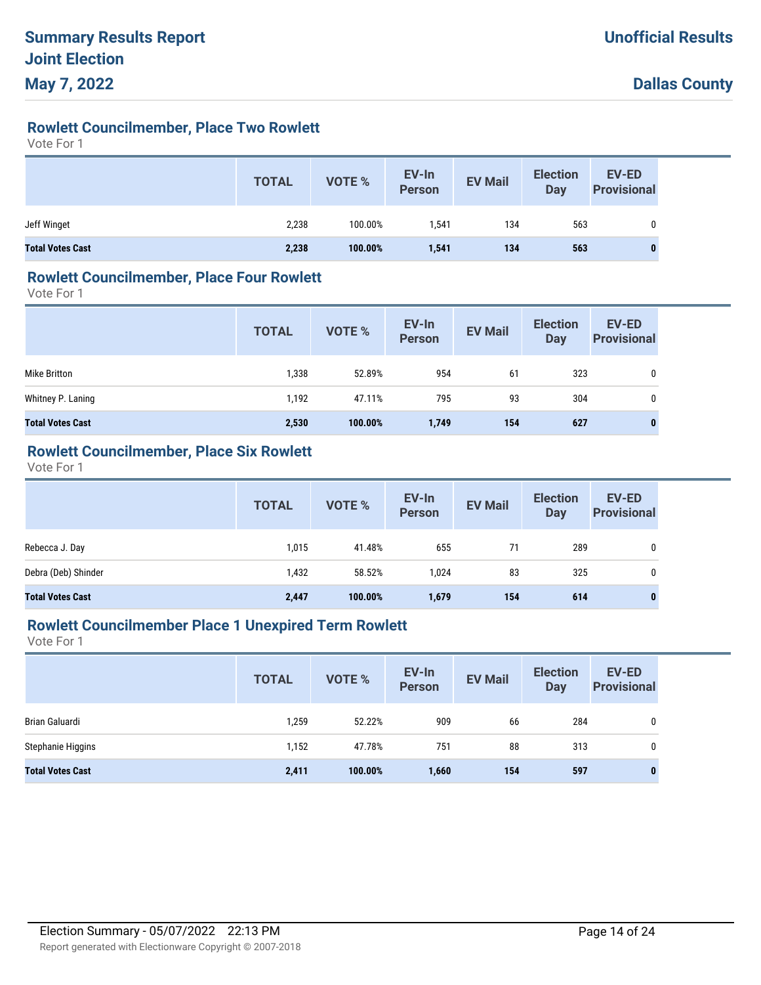# **Rowlett Councilmember, Place Two Rowlett**

Vote For 1

|                         | <b>TOTAL</b> | VOTE %  | EV-In<br>Person | <b>EV Mail</b> | <b>Election</b><br>Day | <b>EV-ED</b><br><b>Provisional</b> |
|-------------------------|--------------|---------|-----------------|----------------|------------------------|------------------------------------|
| Jeff Winget             | 2,238        | 100.00% | 1.541           | 134            | 563                    |                                    |
| <b>Total Votes Cast</b> | 2,238        | 100.00% | 1,541           | 134            | 563                    | $\bf{0}$                           |

#### **Rowlett Councilmember, Place Four Rowlett**

Vote For 1

|                         | <b>TOTAL</b> | <b>VOTE %</b> | EV-In<br><b>Person</b> | <b>EV Mail</b> | <b>Election</b><br>Day | <b>EV-ED</b><br><b>Provisional</b> |
|-------------------------|--------------|---------------|------------------------|----------------|------------------------|------------------------------------|
| Mike Britton            | 1,338        | 52.89%        | 954                    | 61             | 323                    |                                    |
| Whitney P. Laning       | 1,192        | 47.11%        | 795                    | 93             | 304                    |                                    |
| <b>Total Votes Cast</b> | 2,530        | 100.00%       | 1,749                  | 154            | 627                    |                                    |

## **Rowlett Councilmember, Place Six Rowlett**

Vote For 1

|                         | <b>TOTAL</b> | VOTE %  | EV-In<br>Person | <b>EV Mail</b> | <b>Election</b><br><b>Day</b> | EV-ED<br><b>Provisional</b> |
|-------------------------|--------------|---------|-----------------|----------------|-------------------------------|-----------------------------|
| Rebecca J. Day          | 1,015        | 41.48%  | 655             | 71             | 289                           | 0                           |
| Debra (Deb) Shinder     | 1,432        | 58.52%  | 1,024           | 83             | 325                           | 0                           |
| <b>Total Votes Cast</b> | 2,447        | 100.00% | 1,679           | 154            | 614                           | $\bf{0}$                    |

## **Rowlett Councilmember Place 1 Unexpired Term Rowlett**

|                         | <b>TOTAL</b> | <b>VOTE %</b> | EV-In<br><b>Person</b> | <b>EV Mail</b> | <b>Election</b><br><b>Day</b> | EV-ED<br><b>Provisional</b> |
|-------------------------|--------------|---------------|------------------------|----------------|-------------------------------|-----------------------------|
| Brian Galuardi          | 1,259        | 52.22%        | 909                    | 66             | 284                           | 0                           |
| Stephanie Higgins       | 1,152        | 47.78%        | 751                    | 88             | 313                           | 0                           |
| <b>Total Votes Cast</b> | 2,411        | 100.00%       | 1,660                  | 154            | 597                           | $\bf{0}$                    |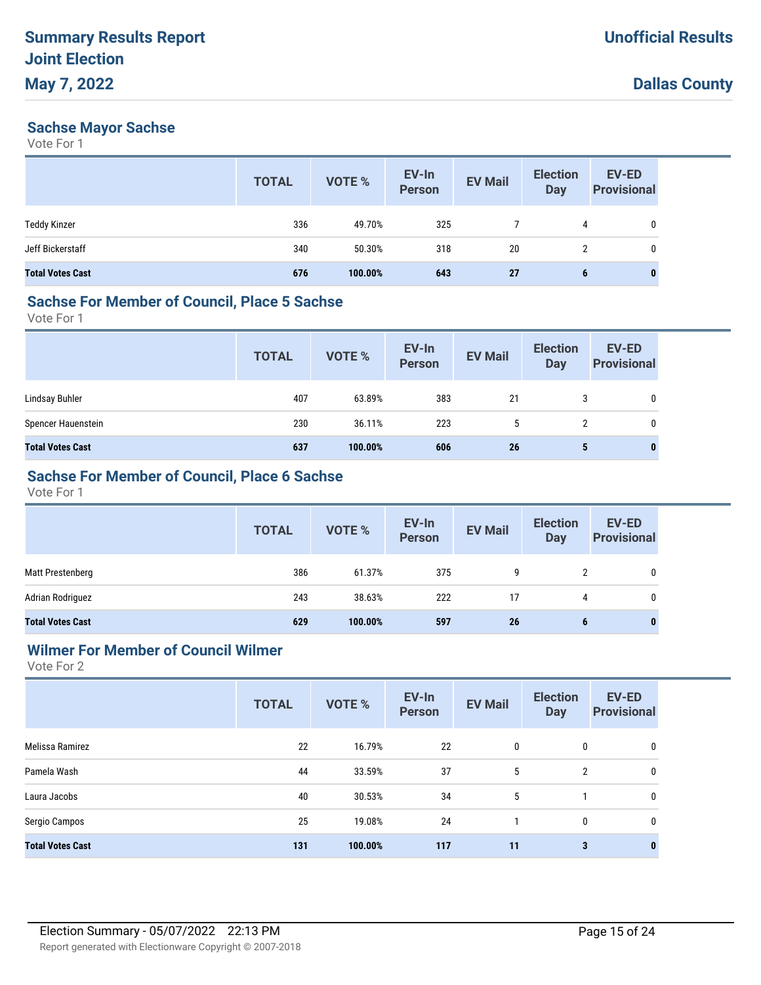#### **Sachse Mayor Sachse**

Vote For 1

|                         | <b>TOTAL</b> | VOTE %  | EV-In<br><b>Person</b> | <b>EV Mail</b> | <b>Election</b><br><b>Day</b> | <b>EV-ED</b><br><b>Provisional</b> |
|-------------------------|--------------|---------|------------------------|----------------|-------------------------------|------------------------------------|
| <b>Teddy Kinzer</b>     | 336          | 49.70%  | 325                    |                | 4                             | 0                                  |
| Jeff Bickerstaff        | 340          | 50.30%  | 318                    | 20             | $\overline{2}$                | 0                                  |
| <b>Total Votes Cast</b> | 676          | 100.00% | 643                    | 27             | 6                             | 0                                  |

# **Sachse For Member of Council, Place 5 Sachse**

Vote For 1

|                         | <b>TOTAL</b> | VOTE %  | EV-In<br>Person | <b>EV Mail</b> | <b>Election</b><br><b>Day</b> | <b>EV-ED</b><br><b>Provisional</b> |
|-------------------------|--------------|---------|-----------------|----------------|-------------------------------|------------------------------------|
| Lindsay Buhler          | 407          | 63.89%  | 383             | 21             | 3                             | $\mathbf 0$                        |
| Spencer Hauenstein      | 230          | 36.11%  | 223             | 5              |                               | 0                                  |
| <b>Total Votes Cast</b> | 637          | 100.00% | 606             | 26             | 5                             | 0                                  |

## **Sachse For Member of Council, Place 6 Sachse**

Vote For 1

|                         | <b>TOTAL</b> | <b>VOTE %</b> | EV-In<br>Person | <b>EV Mail</b> | <b>Election</b><br>Day | EV-ED<br><b>Provisional</b> |
|-------------------------|--------------|---------------|-----------------|----------------|------------------------|-----------------------------|
| Matt Prestenberg        | 386          | 61.37%        | 375             | 9              | 2                      | 0                           |
| Adrian Rodriguez        | 243          | 38.63%        | 222             | 17             |                        | $\mathbf{0}$                |
| <b>Total Votes Cast</b> | 629          | 100.00%       | 597             | 26             | b                      | $\bf{0}$                    |

## **Wilmer For Member of Council Wilmer**

|                         | <b>TOTAL</b> | VOTE %  | EV-In<br><b>Person</b> | <b>EV Mail</b> | <b>Election</b><br><b>Day</b> | EV-ED<br><b>Provisional</b> |
|-------------------------|--------------|---------|------------------------|----------------|-------------------------------|-----------------------------|
| Melissa Ramirez         | 22           | 16.79%  | 22                     | 0              | 0                             | 0                           |
| Pamela Wash             | 44           | 33.59%  | 37                     | 5              | $\overline{2}$                | 0                           |
| Laura Jacobs            | 40           | 30.53%  | 34                     | 5              |                               | 0                           |
| Sergio Campos           | 25           | 19.08%  | 24                     | 1              | 0                             | 0                           |
| <b>Total Votes Cast</b> | 131          | 100.00% | 117                    | 11             | $\overline{\mathbf{3}}$       | $\bf{0}$                    |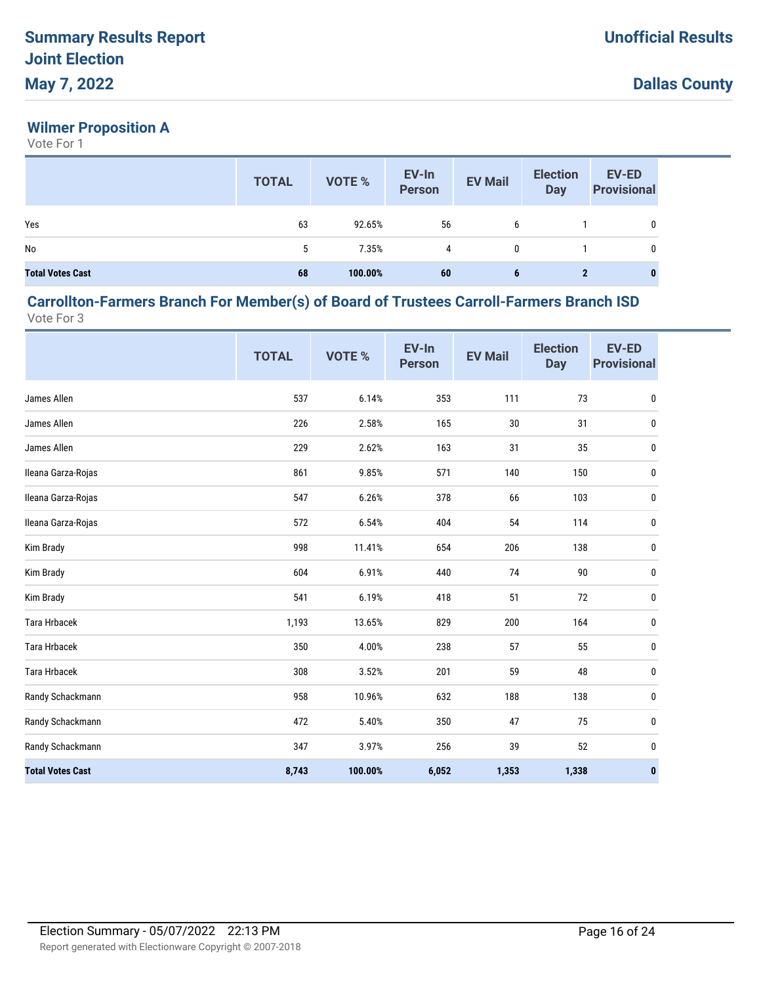## **Wilmer Proposition A**

Vote For 1

|                         | <b>TOTAL</b> | VOTE %  | EV-In<br>Person | <b>EV Mail</b> | <b>Election</b><br><b>Day</b> | <b>EV-ED</b><br><b>Provisional</b> |
|-------------------------|--------------|---------|-----------------|----------------|-------------------------------|------------------------------------|
| Yes                     | 63           | 92.65%  | 56              | 6              |                               | 0                                  |
| No                      | 5            | 7.35%   | 4               | 0              |                               | 0                                  |
| <b>Total Votes Cast</b> | 68           | 100.00% | 60              | 6              | $\mathbf{2}$                  |                                    |

#### **Carrollton-Farmers Branch For Member(s) of Board of Trustees Carroll-Farmers Branch ISD** Vote For 3

|                         | <b>TOTAL</b> | VOTE %  | EV-In<br><b>Person</b> | <b>EV Mail</b> | <b>Election</b><br><b>Day</b> | <b>EV-ED</b><br><b>Provisional</b> |
|-------------------------|--------------|---------|------------------------|----------------|-------------------------------|------------------------------------|
| James Allen             | 537          | 6.14%   | 353                    | 111            | 73                            | $\pmb{0}$                          |
| James Allen             | 226          | 2.58%   | 165                    | 30             | 31                            | 0                                  |
| James Allen             | 229          | 2.62%   | 163                    | 31             | 35                            | 0                                  |
| Ileana Garza-Rojas      | 861          | 9.85%   | 571                    | 140            | 150                           | 0                                  |
| Ileana Garza-Rojas      | 547          | 6.26%   | 378                    | 66             | 103                           | 0                                  |
| Ileana Garza-Rojas      | 572          | 6.54%   | 404                    | 54             | 114                           | 0                                  |
| Kim Brady               | 998          | 11.41%  | 654                    | 206            | 138                           | 0                                  |
| Kim Brady               | 604          | 6.91%   | 440                    | 74             | 90                            | 0                                  |
| Kim Brady               | 541          | 6.19%   | 418                    | 51             | 72                            | 0                                  |
| <b>Tara Hrbacek</b>     | 1,193        | 13.65%  | 829                    | 200            | 164                           | 0                                  |
| <b>Tara Hrbacek</b>     | 350          | 4.00%   | 238                    | 57             | 55                            | 0                                  |
| <b>Tara Hrbacek</b>     | 308          | 3.52%   | 201                    | 59             | 48                            | 0                                  |
| Randy Schackmann        | 958          | 10.96%  | 632                    | 188            | 138                           | 0                                  |
| Randy Schackmann        | 472          | 5.40%   | 350                    | 47             | 75                            | 0                                  |
| Randy Schackmann        | 347          | 3.97%   | 256                    | 39             | 52                            | 0                                  |
| <b>Total Votes Cast</b> | 8,743        | 100.00% | 6,052                  | 1,353          | 1,338                         | 0                                  |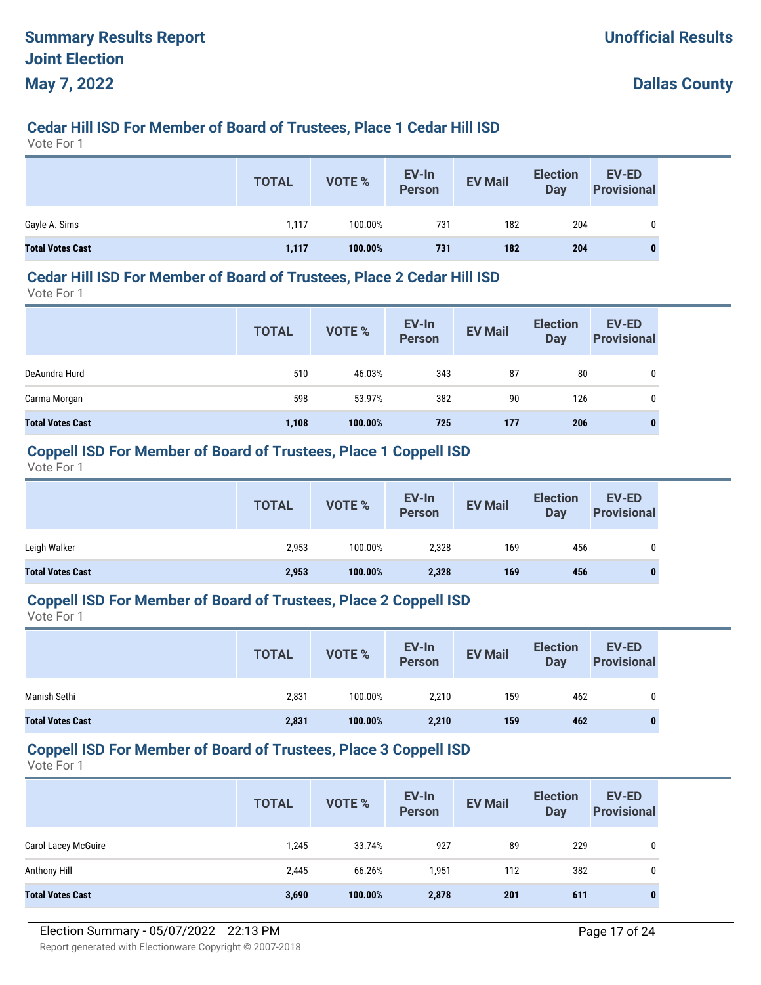# **Cedar Hill ISD For Member of Board of Trustees, Place 1 Cedar Hill ISD**

Vote For 1

|                         | <b>TOTAL</b> | VOTE %  | EV-In<br>Person | <b>EV Mail</b> | <b>Election</b><br><b>Day</b> | <b>EV-ED</b><br><b>Provisional</b> |
|-------------------------|--------------|---------|-----------------|----------------|-------------------------------|------------------------------------|
| Gayle A. Sims           | 1,117        | 100.00% | 731             | 182            | 204                           |                                    |
| <b>Total Votes Cast</b> | 1,117        | 100.00% | 731             | 182            | 204                           | 0                                  |

#### **Cedar Hill ISD For Member of Board of Trustees, Place 2 Cedar Hill ISD**

Vote For 1

|                         | <b>TOTAL</b> | <b>VOTE %</b> | EV-In<br><b>Person</b> | <b>EV Mail</b> | <b>Election</b><br><b>Day</b> | EV-ED<br><b>Provisional</b> |
|-------------------------|--------------|---------------|------------------------|----------------|-------------------------------|-----------------------------|
| DeAundra Hurd           | 510          | 46.03%        | 343                    | 87             | 80                            | 0                           |
| Carma Morgan            | 598          | 53.97%        | 382                    | 90             | 126                           | 0                           |
| <b>Total Votes Cast</b> | 1,108        | 100.00%       | 725                    | 177            | 206                           | 0                           |

#### **Coppell ISD For Member of Board of Trustees, Place 1 Coppell ISD**

Vote For 1

|                         | <b>TOTAL</b> | VOTE %  | EV-In<br><b>Person</b> | <b>EV Mail</b> | <b>Election</b><br><b>Day</b> | <b>EV-ED</b><br><b>Provisional</b> |
|-------------------------|--------------|---------|------------------------|----------------|-------------------------------|------------------------------------|
| Leigh Walker            | 2,953        | 100.00% | 2,328                  | 169            | 456                           | 0                                  |
| <b>Total Votes Cast</b> | 2,953        | 100.00% | 2,328                  | 169            | 456                           |                                    |

#### **Coppell ISD For Member of Board of Trustees, Place 2 Coppell ISD**

Vote For 1

|                         | <b>TOTAL</b> | <b>VOTE %</b> | EV-In<br><b>Person</b> | <b>EV Mail</b> | <b>Election</b><br>Day | <b>EV-ED</b><br><b>Provisional</b> |
|-------------------------|--------------|---------------|------------------------|----------------|------------------------|------------------------------------|
| Manish Sethi            | 2,831        | 100.00%       | 2,210                  | 159            | 462                    | 0                                  |
| <b>Total Votes Cast</b> | 2,831        | 100.00%       | 2,210                  | 159            | 462                    | 0                                  |

#### **Coppell ISD For Member of Board of Trustees, Place 3 Coppell ISD**

|                            | <b>TOTAL</b> | <b>VOTE %</b> | EV-In<br><b>Person</b> | <b>EV Mail</b> | <b>Election</b><br><b>Day</b> | <b>EV-ED</b><br><b>Provisional</b> |
|----------------------------|--------------|---------------|------------------------|----------------|-------------------------------|------------------------------------|
| <b>Carol Lacey McGuire</b> | 1,245        | 33.74%        | 927                    | 89             | 229                           | 0                                  |
| Anthony Hill               | 2,445        | 66.26%        | 1,951                  | 112            | 382                           | 0                                  |
| <b>Total Votes Cast</b>    | 3,690        | 100.00%       | 2,878                  | 201            | 611                           | $\bf{0}$                           |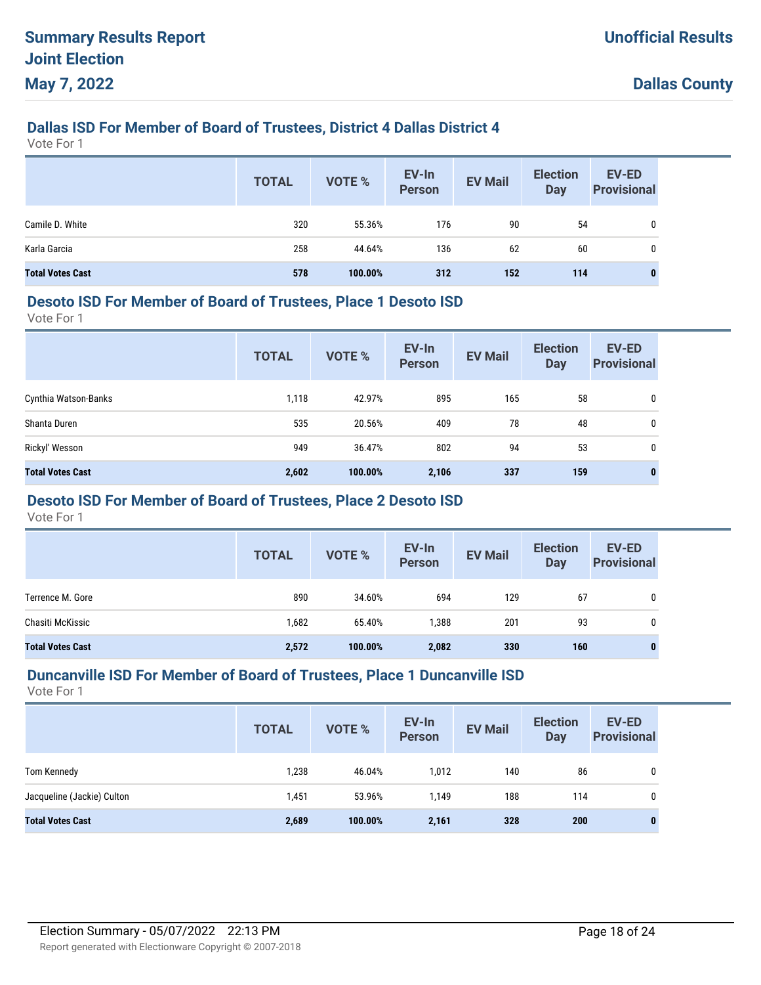# **Dallas ISD For Member of Board of Trustees, District 4 Dallas District 4**

Vote For 1

|                         | <b>TOTAL</b> | <b>VOTE %</b> | EV-In<br>Person | <b>EV Mail</b> | <b>Election</b><br><b>Day</b> | EV-ED<br><b>Provisional</b> |
|-------------------------|--------------|---------------|-----------------|----------------|-------------------------------|-----------------------------|
| Camile D. White         | 320          | 55.36%        | 176             | 90             | 54                            | 0                           |
| Karla Garcia            | 258          | 44.64%        | 136             | 62             | 60                            | 0                           |
| <b>Total Votes Cast</b> | 578          | 100.00%       | 312             | 152            | 114                           | 0                           |

#### **Desoto ISD For Member of Board of Trustees, Place 1 Desoto ISD**

Vote For 1

|                         | <b>TOTAL</b> | <b>VOTE %</b> | EV-In<br><b>Person</b> | <b>EV Mail</b> | <b>Election</b><br><b>Day</b> | <b>EV-ED</b><br><b>Provisional</b> |
|-------------------------|--------------|---------------|------------------------|----------------|-------------------------------|------------------------------------|
| Cynthia Watson-Banks    | 1,118        | 42.97%        | 895                    | 165            | 58                            | 0                                  |
| Shanta Duren            | 535          | 20.56%        | 409                    | 78             | 48                            | 0                                  |
| Rickyl' Wesson          | 949          | 36.47%        | 802                    | 94             | 53                            | 0                                  |
| <b>Total Votes Cast</b> | 2,602        | 100.00%       | 2,106                  | 337            | 159                           | 0                                  |

## **Desoto ISD For Member of Board of Trustees, Place 2 Desoto ISD**

Vote For 1

|                         | <b>TOTAL</b> | <b>VOTE %</b> | EV-In<br><b>Person</b> | <b>EV Mail</b> | <b>Election</b><br><b>Day</b> | <b>EV-ED</b><br><b>Provisional</b> |
|-------------------------|--------------|---------------|------------------------|----------------|-------------------------------|------------------------------------|
| Terrence M. Gore        | 890          | 34.60%        | 694                    | 129            | 67                            | 0                                  |
| Chasiti McKissic        | 1,682        | 65.40%        | 1,388                  | 201            | 93                            | 0                                  |
| <b>Total Votes Cast</b> | 2,572        | 100.00%       | 2,082                  | 330            | 160                           | 0                                  |

#### **Duncanville ISD For Member of Board of Trustees, Place 1 Duncanville ISD**

|                            | <b>TOTAL</b> | <b>VOTE %</b> | EV-In<br><b>Person</b> | <b>EV Mail</b> | <b>Election</b><br>Day | EV-ED<br><b>Provisional</b> |
|----------------------------|--------------|---------------|------------------------|----------------|------------------------|-----------------------------|
| Tom Kennedy                | 1,238        | 46.04%        | 1,012                  | 140            | 86                     | 0                           |
| Jacqueline (Jackie) Culton | 1,451        | 53.96%        | 1.149                  | 188            | 114                    | 0                           |
| <b>Total Votes Cast</b>    | 2,689        | 100.00%       | 2,161                  | 328            | 200                    | $\mathbf{0}$                |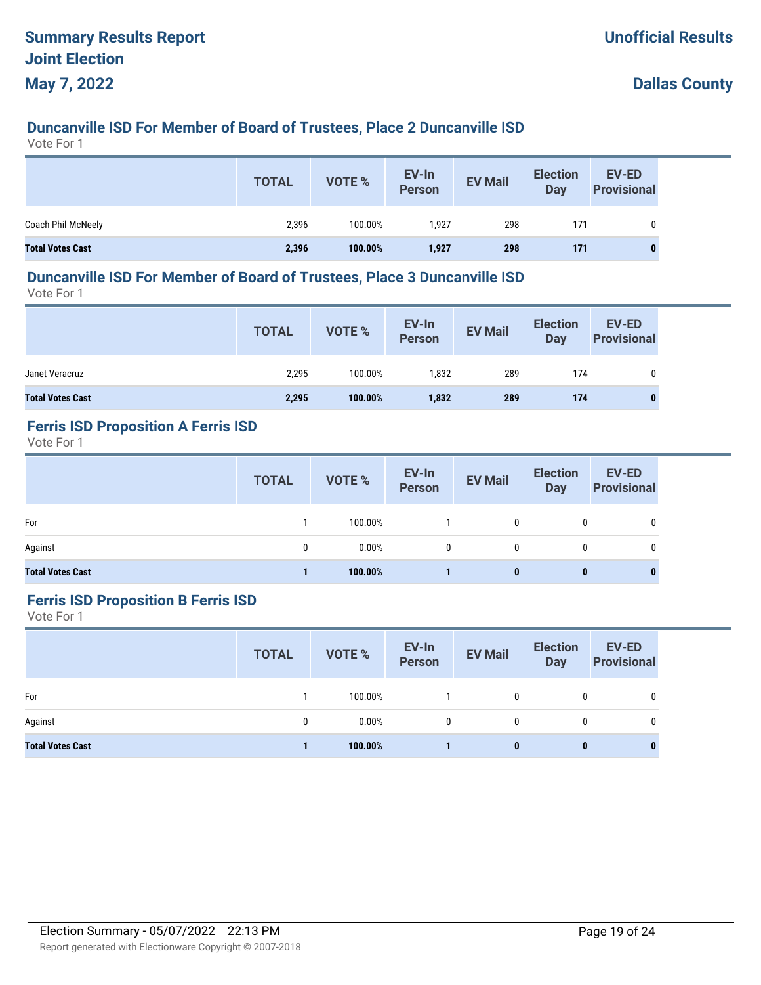# **Duncanville ISD For Member of Board of Trustees, Place 2 Duncanville ISD**

Vote For 1

|                         | <b>TOTAL</b> | <b>VOTE %</b> | EV-In<br>Person | <b>EV Mail</b> | <b>Election</b><br><b>Day</b> | EV-ED<br><b>Provisional</b> |
|-------------------------|--------------|---------------|-----------------|----------------|-------------------------------|-----------------------------|
| Coach Phil McNeely      | 2,396        | 100.00%       | 1.927           | 298            | 171                           | 0                           |
| <b>Total Votes Cast</b> | 2,396        | 100.00%       | 1,927           | 298            | 171                           |                             |

#### **Duncanville ISD For Member of Board of Trustees, Place 3 Duncanville ISD**

Vote For 1

|                         | <b>TOTAL</b> | VOTE %  | EV-In<br>Person | <b>EV Mail</b> | <b>Election</b><br>Day | <b>EV-ED</b><br><b>Provisional</b> |
|-------------------------|--------------|---------|-----------------|----------------|------------------------|------------------------------------|
| Janet Veracruz          | 2,295        | 100.00% | 1,832           | 289            | 174                    |                                    |
| <b>Total Votes Cast</b> | 2,295        | 100.00% | 1,832           | 289            | 174                    |                                    |

# **Ferris ISD Proposition A Ferris ISD**

Vote For 1

|                         | <b>TOTAL</b> | VOTE %   | EV-In<br>Person | <b>EV Mail</b> | <b>Election</b><br>Day | <b>EV-ED</b><br><b>Provisional</b> |
|-------------------------|--------------|----------|-----------------|----------------|------------------------|------------------------------------|
| For                     |              | 100.00%  |                 | 0              | 0                      | 0                                  |
| Against                 | $\mathbf{0}$ | $0.00\%$ | $\mathbf{0}$    | 0              | 0                      | 0                                  |
| <b>Total Votes Cast</b> |              | 100.00%  |                 | 0              | 0                      | 0                                  |

#### **Ferris ISD Proposition B Ferris ISD**

|                         | <b>TOTAL</b> | <b>VOTE %</b> | EV-In<br>Person | <b>EV Mail</b> | <b>Election</b><br><b>Day</b> | EV-ED<br><b>Provisional</b> |
|-------------------------|--------------|---------------|-----------------|----------------|-------------------------------|-----------------------------|
| For                     |              | 100.00%       |                 | $\mathbf{0}$   | 0                             | 0                           |
| Against                 | 0            | 0.00%         | 0               | 0              | 0                             | 0                           |
| <b>Total Votes Cast</b> |              | 100.00%       |                 | 0              | $\bf{0}$                      | $\bf{0}$                    |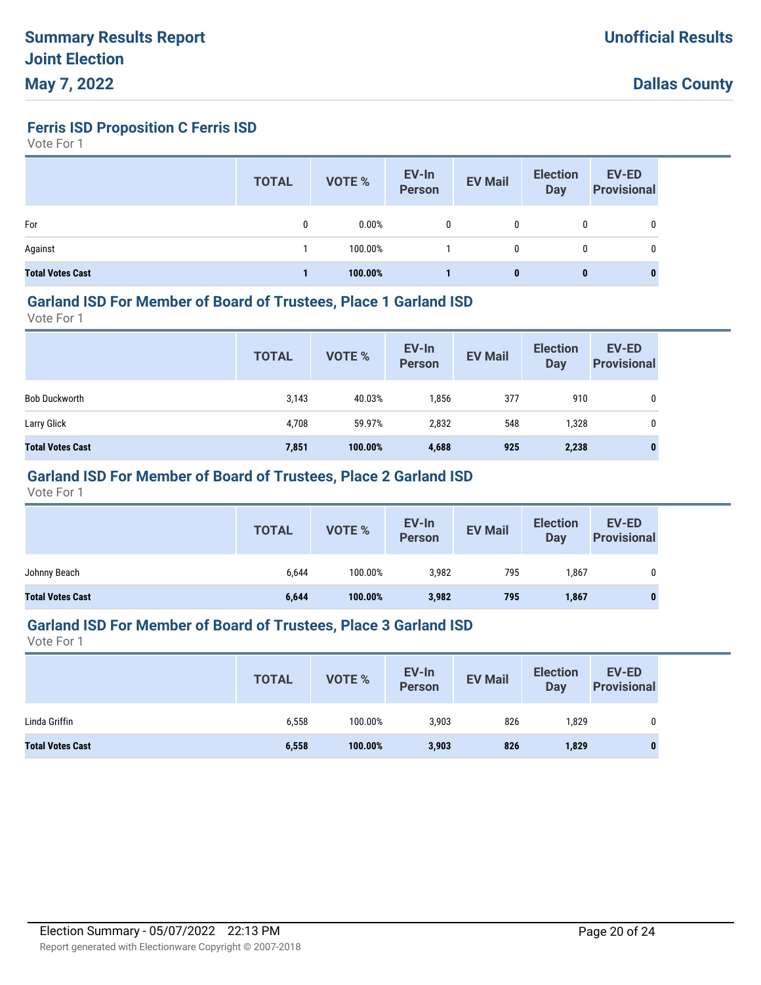**Ferris ISD Proposition C Ferris ISD**

Vote For 1

|                         | <b>TOTAL</b> | <b>VOTE %</b> | EV-In<br>Person | <b>EV Mail</b> | <b>Election</b><br>Day | <b>EV-ED</b><br><b>Provisional</b> |
|-------------------------|--------------|---------------|-----------------|----------------|------------------------|------------------------------------|
| For                     | 0            | 0.00%         | $\mathbf{0}$    | 0              | 0                      | 0                                  |
| Against                 |              | 100.00%       |                 | 0              | 0                      | 0                                  |
| <b>Total Votes Cast</b> |              | 100.00%       |                 | 0              | $\bf{0}$               |                                    |

#### **Garland ISD For Member of Board of Trustees, Place 1 Garland ISD**

Vote For 1

|                         | <b>TOTAL</b> | VOTE %  | EV-In<br>Person | <b>EV Mail</b> | <b>Election</b><br>Day | <b>EV-ED</b><br><b>Provisional</b> |
|-------------------------|--------------|---------|-----------------|----------------|------------------------|------------------------------------|
| <b>Bob Duckworth</b>    | 3,143        | 40.03%  | 1,856           | 377            | 910                    | 0                                  |
| Larry Glick             | 4,708        | 59.97%  | 2,832           | 548            | 1,328                  | 0                                  |
| <b>Total Votes Cast</b> | 7,851        | 100.00% | 4,688           | 925            | 2,238                  | $\bf{0}$                           |

## **Garland ISD For Member of Board of Trustees, Place 2 Garland ISD**

Vote For 1

|                                                                      | <b>Provisional</b> |
|----------------------------------------------------------------------|--------------------|
| Johnny Beach<br>100.00%<br>3,982<br>795<br>6,644<br>1,867            | 0                  |
| 100.00%<br>3,982<br><b>Total Votes Cast</b><br>6,644<br>795<br>1,867 |                    |

#### **Garland ISD For Member of Board of Trustees, Place 3 Garland ISD**

|                         | <b>TOTAL</b> | <b>VOTE %</b> | EV-In<br>Person | <b>EV Mail</b> | <b>Election</b><br>Day | <b>EV-ED</b><br><b>Provisional</b> |
|-------------------------|--------------|---------------|-----------------|----------------|------------------------|------------------------------------|
| Linda Griffin           | 6,558        | 100.00%       | 3,903           | 826            | 1,829                  |                                    |
| <b>Total Votes Cast</b> | 6,558        | 100.00%       | 3,903           | 826            | 1,829                  |                                    |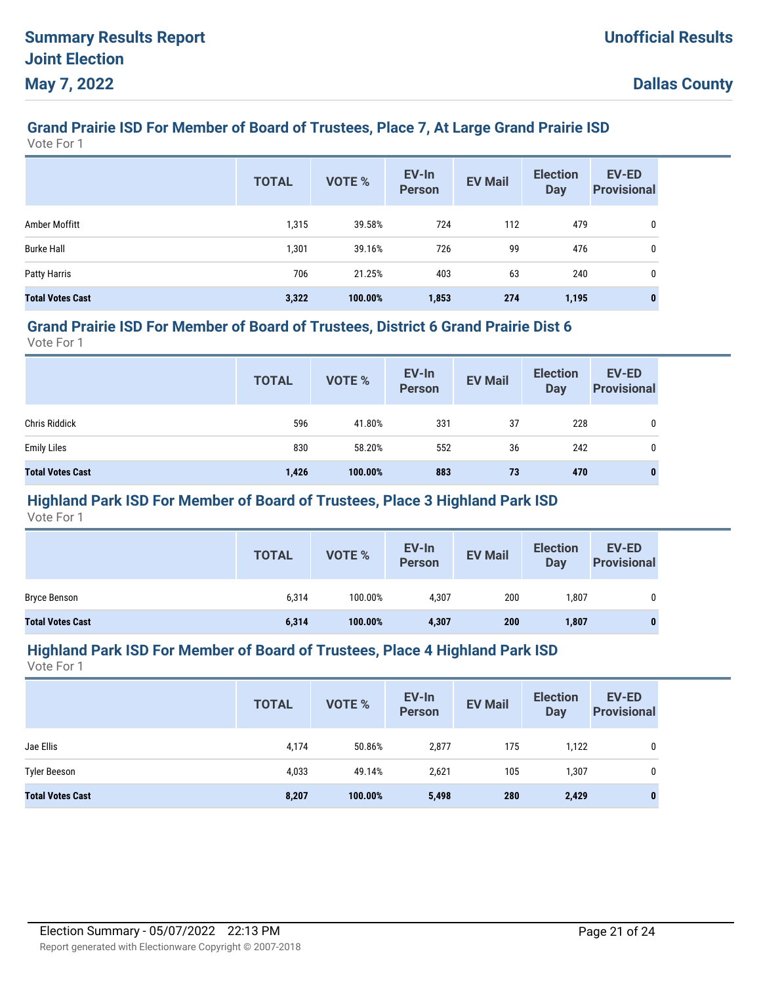# **Grand Prairie ISD For Member of Board of Trustees, Place 7, At Large Grand Prairie ISD**

Vote For 1

|                         | <b>TOTAL</b> | <b>VOTE %</b> | EV-In<br><b>Person</b> | <b>EV Mail</b> | <b>Election</b><br><b>Day</b> | <b>EV-ED</b><br><b>Provisional</b> |
|-------------------------|--------------|---------------|------------------------|----------------|-------------------------------|------------------------------------|
| Amber Moffitt           | 1,315        | 39.58%        | 724                    | 112            | 479                           | 0                                  |
| <b>Burke Hall</b>       | 1,301        | 39.16%        | 726                    | 99             | 476                           | 0                                  |
| Patty Harris            | 706          | 21.25%        | 403                    | 63             | 240                           | 0                                  |
| <b>Total Votes Cast</b> | 3,322        | 100.00%       | 1,853                  | 274            | 1,195                         | $\bf{0}$                           |

#### **Grand Prairie ISD For Member of Board of Trustees, District 6 Grand Prairie Dist 6**

Vote For 1

|                         | <b>TOTAL</b> | VOTE %  | EV-In<br>Person | <b>EV Mail</b> | <b>Election</b><br>Day | <b>EV-ED</b><br><b>Provisional</b> |
|-------------------------|--------------|---------|-----------------|----------------|------------------------|------------------------------------|
| <b>Chris Riddick</b>    | 596          | 41.80%  | 331             | 37             | 228                    | 0                                  |
| <b>Emily Liles</b>      | 830          | 58.20%  | 552             | 36             | 242                    | 0                                  |
| <b>Total Votes Cast</b> | 1,426        | 100.00% | 883             | 73             | 470                    | 0                                  |

## **Highland Park ISD For Member of Board of Trustees, Place 3 Highland Park ISD**

Vote For 1

|                         | <b>TOTAL</b> | VOTE %  | EV-In<br>Person | <b>EV Mail</b> | <b>Election</b><br><b>Day</b> | <b>EV-ED</b><br><b>Provisional</b> |
|-------------------------|--------------|---------|-----------------|----------------|-------------------------------|------------------------------------|
| <b>Bryce Benson</b>     | 6,314        | 100.00% | 4,307           | 200            | 1,807                         |                                    |
| <b>Total Votes Cast</b> | 6,314        | 100.00% | 4,307           | 200            | 1,807                         |                                    |

#### **Highland Park ISD For Member of Board of Trustees, Place 4 Highland Park ISD**

|                         | <b>TOTAL</b> | VOTE %  | EV-In<br><b>Person</b> | <b>EV Mail</b> | <b>Election</b><br><b>Day</b> | <b>EV-ED</b><br><b>Provisional</b> |
|-------------------------|--------------|---------|------------------------|----------------|-------------------------------|------------------------------------|
| Jae Ellis               | 4,174        | 50.86%  | 2,877                  | 175            | 1,122                         | 0                                  |
| <b>Tyler Beeson</b>     | 4,033        | 49.14%  | 2,621                  | 105            | 1,307                         | 0                                  |
| <b>Total Votes Cast</b> | 8,207        | 100.00% | 5,498                  | 280            | 2,429                         | 0                                  |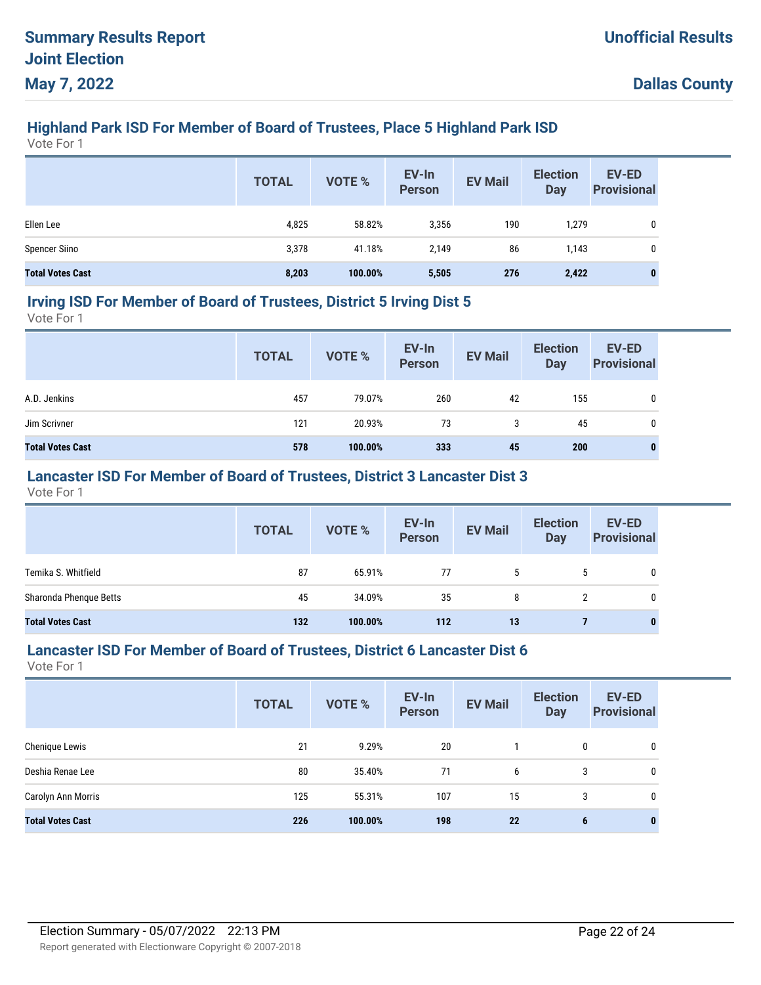# **Highland Park ISD For Member of Board of Trustees, Place 5 Highland Park ISD**

Vote For 1

|                         | <b>TOTAL</b> | VOTE %  | EV-In<br>Person | <b>EV Mail</b> | <b>Election</b><br><b>Day</b> | <b>EV-ED</b><br><b>Provisional</b> |
|-------------------------|--------------|---------|-----------------|----------------|-------------------------------|------------------------------------|
| Ellen Lee               | 4,825        | 58.82%  | 3,356           | 190            | 1,279                         | 0                                  |
| <b>Spencer Siino</b>    | 3,378        | 41.18%  | 2.149           | 86             | 1,143                         | 0                                  |
| <b>Total Votes Cast</b> | 8,203        | 100.00% | 5,505           | 276            | 2,422                         | 0                                  |

#### **Irving ISD For Member of Board of Trustees, District 5 Irving Dist 5**

Vote For 1

|                         | <b>TOTAL</b> | <b>VOTE %</b> | EV-In<br>Person | <b>EV Mail</b> | <b>Election</b><br>Day | <b>EV-ED</b><br><b>Provisional</b> |
|-------------------------|--------------|---------------|-----------------|----------------|------------------------|------------------------------------|
| A.D. Jenkins            | 457          | 79.07%        | 260             | 42             | 155                    | 0                                  |
| Jim Scrivner            | 121          | 20.93%        | 73              | 3              | 45                     | 0                                  |
| <b>Total Votes Cast</b> | 578          | 100.00%       | 333             | 45             | 200                    | 0                                  |

## **Lancaster ISD For Member of Board of Trustees, District 3 Lancaster Dist 3**

Vote For 1

|                         | <b>TOTAL</b> | VOTE %  | EV-In<br>Person | <b>EV Mail</b> | <b>Election</b><br><b>Day</b> | EV-ED<br><b>Provisional</b> |
|-------------------------|--------------|---------|-----------------|----------------|-------------------------------|-----------------------------|
| Temika S. Whitfield     | 87           | 65.91%  | 77              | 5              | <sub>5</sub>                  | 0                           |
| Sharonda Phenque Betts  | 45           | 34.09%  | 35              | 8              |                               | $\mathbf{0}$                |
| <b>Total Votes Cast</b> | 132          | 100.00% | 112             | 13             |                               | 0                           |

#### **Lancaster ISD For Member of Board of Trustees, District 6 Lancaster Dist 6**

|                         | <b>TOTAL</b> | <b>VOTE %</b> | EV-In<br><b>Person</b> | <b>EV Mail</b> | <b>Election</b><br><b>Day</b> | <b>EV-ED</b><br><b>Provisional</b> |
|-------------------------|--------------|---------------|------------------------|----------------|-------------------------------|------------------------------------|
| Chenique Lewis          | 21           | 9.29%         | 20                     |                | 0                             | 0                                  |
| Deshia Renae Lee        | 80           | 35.40%        | 71                     | 6              | 3                             | 0                                  |
| Carolyn Ann Morris      | 125          | 55.31%        | 107                    | 15             | 3                             | 0                                  |
| <b>Total Votes Cast</b> | 226          | 100.00%       | 198                    | 22             | 6                             | $\mathbf{0}$                       |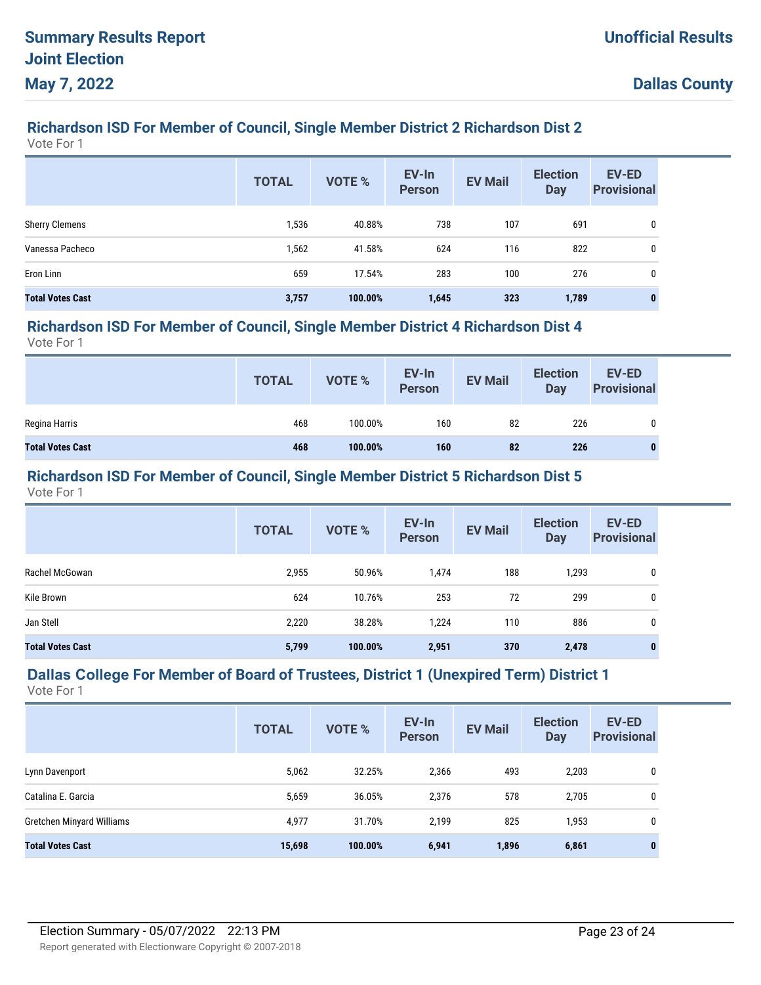## **Richardson ISD For Member of Council, Single Member District 2 Richardson Dist 2**

Vote For 1

|                         | <b>TOTAL</b> | <b>VOTE %</b> | EV-In<br><b>Person</b> | <b>EV Mail</b> | <b>Election</b><br><b>Day</b> | <b>EV-ED</b><br><b>Provisional</b> |
|-------------------------|--------------|---------------|------------------------|----------------|-------------------------------|------------------------------------|
| <b>Sherry Clemens</b>   | 1,536        | 40.88%        | 738                    | 107            | 691                           | 0                                  |
| Vanessa Pacheco         | 1,562        | 41.58%        | 624                    | 116            | 822                           | 0                                  |
| Eron Linn               | 659          | 17.54%        | 283                    | 100            | 276                           | 0                                  |
| <b>Total Votes Cast</b> | 3,757        | 100.00%       | 1,645                  | 323            | 1,789                         | 0                                  |

#### **Richardson ISD For Member of Council, Single Member District 4 Richardson Dist 4**

Vote For 1

|                         | <b>TOTAL</b> | VOTE %  | EV-In<br>Person | <b>EV Mail</b> | <b>Election</b><br>Day | <b>EV-ED</b><br><b>Provisional</b> |
|-------------------------|--------------|---------|-----------------|----------------|------------------------|------------------------------------|
| Regina Harris           | 468          | 100.00% | 160             | 82             | 226                    | 0                                  |
| <b>Total Votes Cast</b> | 468          | 100.00% | 160             | 82             | 226                    | 0                                  |

#### **Richardson ISD For Member of Council, Single Member District 5 Richardson Dist 5**

Vote For 1

|                         | <b>TOTAL</b> | <b>VOTE %</b> | EV-In<br><b>Person</b> | <b>EV Mail</b> | <b>Election</b><br><b>Day</b> | EV-ED<br><b>Provisional</b> |
|-------------------------|--------------|---------------|------------------------|----------------|-------------------------------|-----------------------------|
| Rachel McGowan          | 2,955        | 50.96%        | 1,474                  | 188            | 1,293                         | 0                           |
| Kile Brown              | 624          | 10.76%        | 253                    | 72             | 299                           | 0                           |
| Jan Stell               | 2,220        | 38.28%        | 1,224                  | 110            | 886                           | 0                           |
| <b>Total Votes Cast</b> | 5,799        | 100.00%       | 2,951                  | 370            | 2,478                         | $\bf{0}$                    |

# **Dallas College For Member of Board of Trustees, District 1 (Unexpired Term) District 1**

|                           | <b>TOTAL</b> | <b>VOTE %</b> | EV-In<br><b>Person</b> | <b>EV Mail</b> | <b>Election</b><br><b>Day</b> | <b>EV-ED</b><br><b>Provisional</b> |
|---------------------------|--------------|---------------|------------------------|----------------|-------------------------------|------------------------------------|
| Lynn Davenport            | 5,062        | 32.25%        | 2,366                  | 493            | 2,203                         | 0                                  |
| Catalina E. Garcia        | 5,659        | 36.05%        | 2,376                  | 578            | 2,705                         | 0                                  |
| Gretchen Minyard Williams | 4,977        | 31.70%        | 2,199                  | 825            | 1,953                         | 0                                  |
| <b>Total Votes Cast</b>   | 15,698       | 100.00%       | 6,941                  | 1,896          | 6,861                         | $\mathbf{0}$                       |